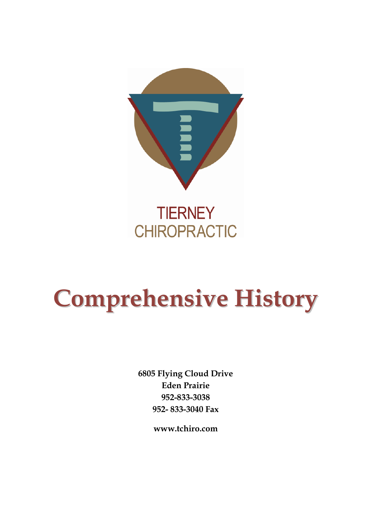

# **Comprehensive History**

**6805 Flying Cloud Drive Eden Prairie 952-833-3038 952- 833-3040 Fax**

**www.tchiro.com**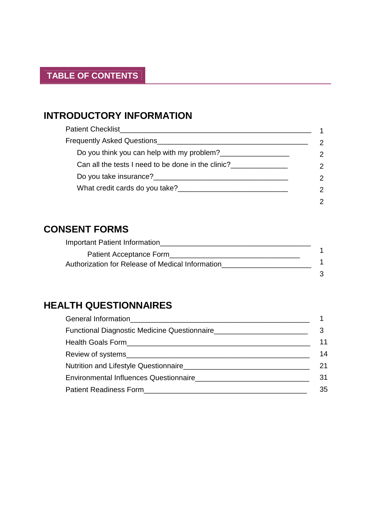# **INTRODUCTORY INFORMATION**

| Patient Checklist                                                                                                                                                                                                                   |               |
|-------------------------------------------------------------------------------------------------------------------------------------------------------------------------------------------------------------------------------------|---------------|
| Frequently Asked Questions <b>Construction</b> Construction and Construction Construction Construction Construction Construction Construction Construction Construction Construction Construction Construction Construction Constru |               |
| Do you think you can help with my problem?                                                                                                                                                                                          | $\mathcal{P}$ |
| Can all the tests I need to be done in the clinic?                                                                                                                                                                                  | $\mathcal{P}$ |
|                                                                                                                                                                                                                                     | $\mathcal{P}$ |
| What credit cards do you take?                                                                                                                                                                                                      | $\mathcal{P}$ |
|                                                                                                                                                                                                                                     |               |

# **CONSENT FORMS**

| <b>Important Patient Information</b>             |  |
|--------------------------------------------------|--|
| Patient Acceptance Form                          |  |
| Authorization for Release of Medical Information |  |
|                                                  |  |

# **HEALTH QUESTIONNAIRES**

| Functional Diagnostic Medicine Questionnaire                                     |    |
|----------------------------------------------------------------------------------|----|
|                                                                                  | 11 |
|                                                                                  | 14 |
|                                                                                  | 21 |
| Environmental Influences Questionnaire<br>environmental Influences Questionnaire | 31 |
|                                                                                  | 35 |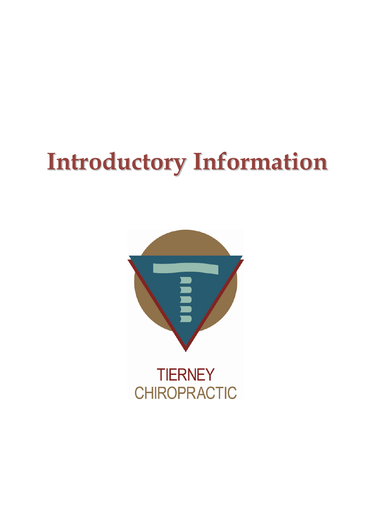# **Introductory Information**

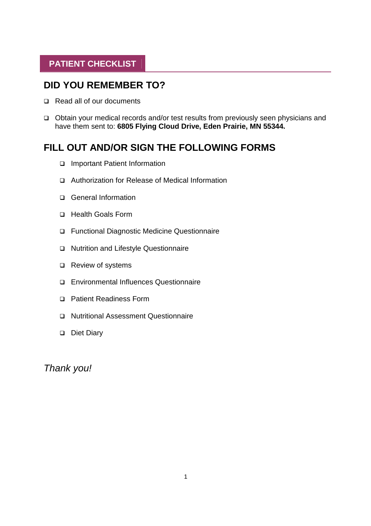# **PATIENT CHECKLIST**

# **DID YOU REMEMBER TO?**

- Read all of our documents
- Obtain your medical records and/or test results from previously seen physicians and have them sent to: **6805 Flying Cloud Drive, Eden Prairie, MN 55344.**

# **FILL OUT AND/OR SIGN THE FOLLOWING FORMS**

- Important Patient Information
- Authorization for Release of Medical Information
- □ General Information
- □ Health Goals Form
- Functional Diagnostic Medicine Questionnaire
- □ Nutrition and Lifestyle Questionnaire
- □ Review of systems
- Environmental Influences Questionnaire
- □ Patient Readiness Form
- □ Nutritional Assessment Questionnaire
- Diet Diary

*Thank you!*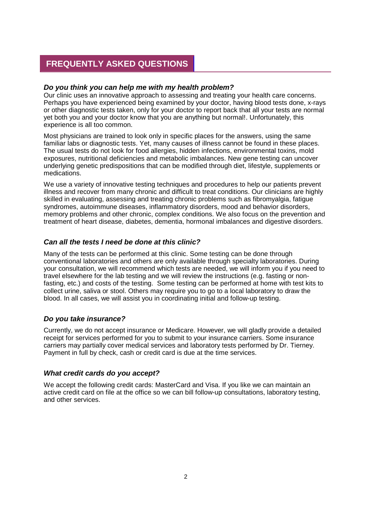## **FREQUENTLY ASKED QUESTIONS**

#### *Do you think you can help me with my health problem?*

Our clinic uses an innovative approach to assessing and treating your health care concerns. Perhaps you have experienced being examined by your doctor, having blood tests done, x-rays or other diagnostic tests taken, only for your doctor to report back that all your tests are normal yet both you and your doctor know that you are anything but normal!. Unfortunately, this experience is all too common.

Most physicians are trained to look only in specific places for the answers, using the same familiar labs or diagnostic tests. Yet, many causes of illness cannot be found in these places. The usual tests do not look for food allergies, hidden infections, environmental toxins, mold exposures, nutritional deficiencies and metabolic imbalances. New gene testing can uncover underlying genetic predispositions that can be modified through diet, lifestyle, supplements or medications.

We use a variety of innovative testing techniques and procedures to help our patients prevent illness and recover from many chronic and difficult to treat conditions. Our clinicians are highly skilled in evaluating, assessing and treating chronic problems such as fibromyalgia, fatigue syndromes, autoimmune diseases, inflammatory disorders, mood and behavior disorders, memory problems and other chronic, complex conditions. We also focus on the prevention and treatment of heart disease, diabetes, dementia, hormonal imbalances and digestive disorders.

#### *Can all the tests I need be done at this clinic?*

Many of the tests can be performed at this clinic. Some testing can be done through conventional laboratories and others are only available through specialty laboratories. During your consultation, we will recommend which tests are needed, we will inform you if you need to travel elsewhere for the lab testing and we will review the instructions (e.g. fasting or nonfasting, etc.) and costs of the testing. Some testing can be performed at home with test kits to collect urine, saliva or stool. Others may require you to go to a local laboratory to draw the blood. In all cases, we will assist you in coordinating initial and follow-up testing.

#### *Do you take insurance?*

Currently, we do not accept insurance or Medicare. However, we will gladly provide a detailed receipt for services performed for you to submit to your insurance carriers. Some insurance carriers may partially cover medical services and laboratory tests performed by Dr. Tierney. Payment in full by check, cash or credit card is due at the time services.

#### *What credit cards do you accept?*

We accept the following credit cards: MasterCard and Visa. If you like we can maintain an active credit card on file at the office so we can bill follow-up consultations, laboratory testing, and other services.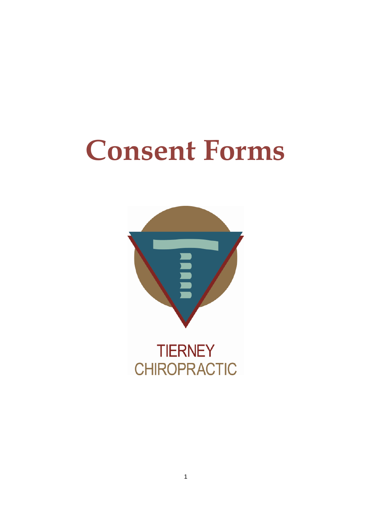# **Consent Forms**



**CHIROPRACTIC**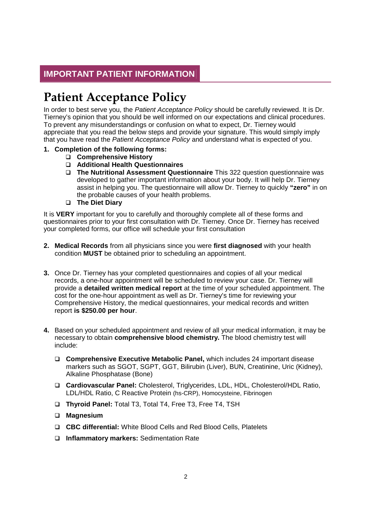# **IMPORTANT PATIENT INFORMATION**

# **Patient Acceptance Policy**

In order to best serve you, the *Patient Acceptance Policy* should be carefully reviewed. It is Dr. Tierney's opinion that you should be well informed on our expectations and clinical procedures. To prevent any misunderstandings or confusion on what to expect, Dr. Tierney would appreciate that you read the below steps and provide your signature. This would simply imply that you have read the *Patient Acceptance Policy* and understand what is expected of you.

- **1. Completion of the following forms:**
	- **Comprehensive History**
	- **Additional Health Questionnaires**
	- **The Nutritional Assessment Questionnaire** This 322 question questionnaire was developed to gather important information about your body. It will help Dr. Tierney assist in helping you. The questionnaire will allow Dr. Tierney to quickly **"zero"** in on the probable causes of your health problems.
	- **The Diet Diary**

It is **VERY** important for you to carefully and thoroughly complete all of these forms and questionnaires prior to your first consultation with Dr. Tierney. Once Dr. Tierney has received your completed forms, our office will schedule your first consultation

- **2. Medical Records** from all physicians since you were **first diagnosed** with your health condition **MUST** be obtained prior to scheduling an appointment.
- **3.** Once Dr. Tierney has your completed questionnaires and copies of all your medical records, a one-hour appointment will be scheduled to review your case. Dr. Tierney will provide a **detailed written medical report** at the time of your scheduled appointment. The cost for the one-hour appointment as well as Dr. Tierney's time for reviewing your Comprehensive History, the medical questionnaires, your medical records and written report **is \$250.00 per hour**.
- **4.** Based on your scheduled appointment and review of all your medical information, it may be necessary to obtain **comprehensive blood chemistry.** The blood chemistry test will include:
	- **Comprehensive Executive Metabolic Panel,** which includes 24 important disease markers such as SGOT, SGPT, GGT, Bilirubin (Liver), BUN, Creatinine, Uric (Kidney), Alkaline Phosphatase (Bone)
	- **Cardiovascular Panel:** Cholesterol, Triglycerides, LDL, HDL, Cholesterol/HDL Ratio, LDL/HDL Ratio, C Reactive Protein (hs-CRP), Homocysteine, Fibrinogen
	- **Thyroid Panel:** Total T3, Total T4, Free T3, Free T4, TSH
	- **Magnesium**
	- **CBC differential:** White Blood Cells and Red Blood Cells, Platelets
	- **Inflammatory markers:** Sedimentation Rate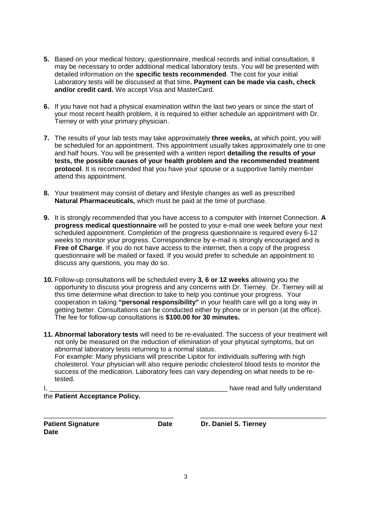- **5.** Based on your medical history, questionnaire, medical records and initial consultation, it may be necessary to order additional medical laboratory tests. You will be presented with detailed information on the **specific tests recommended**. The cost for your initial Laboratory tests will be discussed at that time**. Payment can be made via cash, check and/or credit card.** We accept Visa and MasterCard.
- **6.** If you have not had a physical examination within the last two years or since the start of your most recent health problem, it is required to either schedule an appointment with Dr. Tierney or with your primary physician.
- **7.** The results of your lab tests may take approximately **three weeks,** at which point, you will be scheduled for an appointment. This appointment usually takes approximately one to one and half hours. You will be presented with a written report **detailing the results of your tests, the possible causes of your health problem and the recommended treatment protocol**. It is recommended that you have your spouse or a supportive family member attend this appointment.
- **8.** Your treatment may consist of dietary and lifestyle changes as well as prescribed **Natural Pharmaceuticals,** which must be paid at the time of purchase.
- **9.** It is strongly recommended that you have access to a computer with Internet Connection. **A progress medical questionnaire** will be posted to your e-mail one week before your next scheduled appointment. Completion of the progress questionnaire is required every 6-12 weeks to monitor your progress. Correspondence by e-mail is strongly encouraged and is **Free of Charge**. If you do not have access to the internet, then a copy of the progress questionnaire will be mailed or faxed. If you would prefer to schedule an appointment to discuss any questions, you may do so.
- **10.** Follow-up consultations will be scheduled every **3, 6 or 12 weeks** allowing you the opportunity to discuss your progress and any concerns with Dr. Tierney. Dr. Tierney will at this time determine what direction to take to help you continue your progress. Your cooperation in taking **"personal responsibility"** in your health care will go a long way in getting better. Consultations can be conducted either by phone or in person (at the office). The fee for follow-up consultations is **\$100.00 for 30 minutes.**
- **11. Abnormal laboratory tests** will need to be re-evaluated. The success of your treatment will not only be measured on the reduction of elimination of your physical symptoms, but on abnormal laboratory tests returning to a normal status. For example: Many physicians will prescribe Lipitor for individuals suffering with high cholesterol. Your physician will also require periodic cholesterol blood tests to monitor the success of the medication. Laboratory fees can vary depending on what needs to be retested.

the **Patient Acceptance Policy.**

I, All and the substitution of the state of the state of the state of the state of the state of the state of the state of the state of the state of the state of the state of the state of the state of the state of the state

\_\_\_\_\_\_\_\_\_\_\_\_\_\_\_\_\_\_\_\_\_\_\_\_\_\_\_\_\_\_\_\_\_\_\_ \_\_\_\_\_\_\_\_\_\_\_\_\_\_\_\_\_\_\_\_\_\_\_\_\_\_\_\_\_\_\_\_\_\_

**Date**

**Patient Signature Cate** Date Dr. Daniel S. Tierney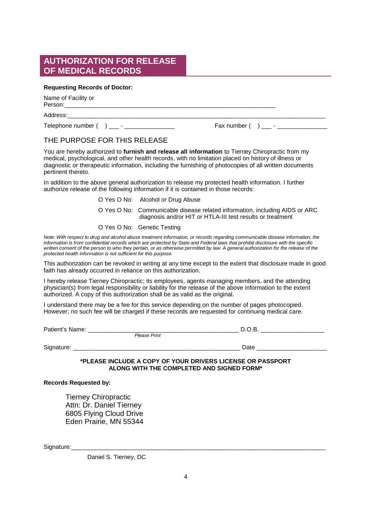### **AUTHORIZATION FOR RELEASE OF MEDICAL RECORDS**

#### **Requesting Records of Doctor:**

Name of Facility or Person:

Address:\_\_\_\_\_\_\_\_\_\_\_\_\_\_\_\_\_\_\_\_\_\_\_\_\_\_\_\_\_\_\_\_\_\_\_\_\_\_\_\_\_\_\_\_\_\_\_\_\_\_\_\_\_\_\_\_\_\_\_\_\_\_\_\_\_\_\_\_\_\_\_\_\_\_\_\_\_

Telephone number ( ) \_\_\_ - \_\_\_\_\_\_\_\_\_\_\_\_\_\_\_ Fax number ( ) \_\_\_ - \_\_\_\_\_\_\_\_\_\_\_\_\_\_\_

#### THE PURPOSE FOR THIS RELEASE

You are hereby authorized to **furnish and release all information** to Tierney Chiropractic from my medical, psychological, and other health records, with no limitation placed on history of illness or diagnostic or therapeutic information, including the furnishing of photocopies of all written documents pertinent thereto.

In addition to the above general authorization to release my protected health information. I further authorize release of the following information if it is contained in those records:

| O Yes O No: Alcohol or Drug Abuse                                                                                                         |
|-------------------------------------------------------------------------------------------------------------------------------------------|
| O Yes O No: Communicable disease related information, including AIDS or ARC<br>diagnosis and/or HIT or HTLA-III test results or treatment |
| O Yes O No: Genetic Testing                                                                                                               |

*Note: With respect to drug and alcohol abuse treatment information, or records regarding communicable disease information, the information is from confidential records which are protected by State and Federal laws that prohibit disclosure with the specific written consent of the person to who they pertain, or as otherwise permitted by law. A general authorization for the release of the protected health information is not sufficient for this purpose.*

This authorization can be revoked in writing at any time except to the extent that disclosure made in good faith has already occurred in reliance on this authorization.

I hereby release Tierney Chiropractic; its employees, agents managing members, and the attending physician(s) from legal responsibility or liability for the release of the above information to the extent authorized. A copy of this authorization shall be as valid as the original.

I understand there may be a fee for this service depending on the number of pages photocopied. However; no such fee will be charged if these records are requested for continuing medical care.

Patient's Name: \_\_\_\_\_\_\_\_\_\_\_\_\_\_\_\_\_\_\_\_\_\_\_\_\_\_\_\_\_\_\_\_\_\_\_\_\_\_\_\_\_\_\_\_\_ D.O.B. \_\_\_\_\_\_\_\_\_\_\_\_\_\_\_\_\_\_\_ *Please Print*

Signature: \_\_\_\_\_\_\_\_\_\_\_\_\_\_\_\_\_\_\_\_\_\_\_\_\_\_\_\_\_\_\_\_\_\_\_\_\_\_\_\_\_\_\_\_\_\_\_\_\_\_ Date \_\_\_\_\_\_\_\_\_\_\_\_\_\_\_\_\_\_\_\_\_

**\*PLEASE INCLUDE A COPY OF YOUR DRIVERS LICENSE OR PASSPORT ALONG WITH THE COMPLETED AND SIGNED FORM\***

#### **Records Requested by:**

Tierney Chiropractic Attn: Dr. Daniel Tierney 6805 Flying Cloud Drive Eden Prairie, MN 55344

Signature:

Daniel S. Tierney, DC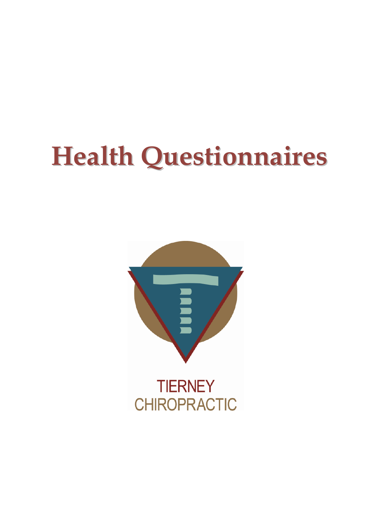# **Health Questionnaires**

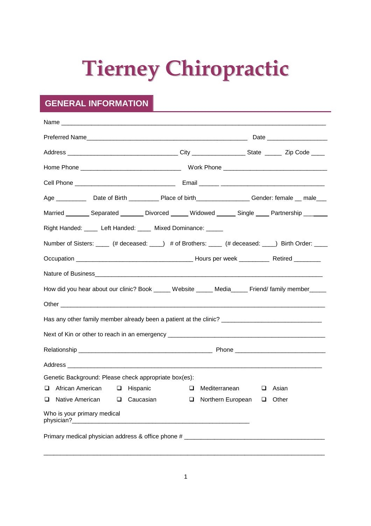# **Tierney Chiropractic**

# **GENERAL INFORMATION**

| Age ________________Date of Birth ______________Place of birth__________________Gender: female ___ male____ |                |                      |              |  |  |
|-------------------------------------------------------------------------------------------------------------|----------------|----------------------|--------------|--|--|
| Married _________ Separated ________ Divorced ______ Widowed ______ Single ____ Partnership _______         |                |                      |              |  |  |
| Right Handed: _____ Left Handed: _____ Mixed Dominance: _____                                               |                |                      |              |  |  |
| Number of Sisters: _____ (# deceased: ____) # of Brothers: ____ (# deceased: ____) Birth Order: ____        |                |                      |              |  |  |
|                                                                                                             |                |                      |              |  |  |
|                                                                                                             |                |                      |              |  |  |
| How did you hear about our clinic? Book _____ Website _____ Media_____ Friend/ family member_____           |                |                      |              |  |  |
|                                                                                                             |                |                      |              |  |  |
|                                                                                                             |                |                      |              |  |  |
|                                                                                                             |                |                      |              |  |  |
|                                                                                                             |                |                      |              |  |  |
|                                                                                                             |                |                      |              |  |  |
| Genetic Background: Please check appropriate box(es):                                                       |                |                      |              |  |  |
| $\Box$ African American $\Box$ Hispanic                                                                     |                | $\Box$ Mediterranean | $\Box$ Asian |  |  |
| Native American<br>ப<br>⊔                                                                                   | Caucasian<br>ப | Northern European    | Other<br>⊔   |  |  |
| Who is your primary medical                                                                                 |                |                      |              |  |  |
|                                                                                                             |                |                      |              |  |  |
|                                                                                                             |                |                      |              |  |  |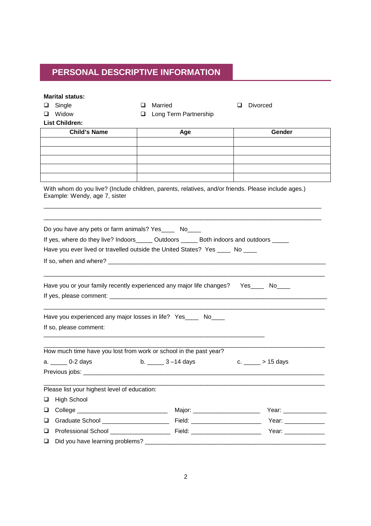# **PERSONAL DESCRIPTIVE INFORMATION**

| <b>Marital status:</b>                                                                                                               |                                   |                            |  |  |  |
|--------------------------------------------------------------------------------------------------------------------------------------|-----------------------------------|----------------------------|--|--|--|
| Single<br>ப                                                                                                                          | Married<br>ப                      | <b>Divorced</b><br>ப       |  |  |  |
| Widow<br>ப                                                                                                                           | Long Term Partnership<br>❏        |                            |  |  |  |
| <b>List Children:</b>                                                                                                                |                                   |                            |  |  |  |
| <b>Child's Name</b>                                                                                                                  | Age                               | Gender                     |  |  |  |
|                                                                                                                                      |                                   |                            |  |  |  |
|                                                                                                                                      |                                   |                            |  |  |  |
|                                                                                                                                      |                                   |                            |  |  |  |
|                                                                                                                                      |                                   |                            |  |  |  |
| With whom do you live? (Include children, parents, relatives, and/or friends. Please include ages.)<br>Example: Wendy, age 7, sister |                                   |                            |  |  |  |
| Do you have any pets or farm animals? Yes______ No____                                                                               |                                   |                            |  |  |  |
| If yes, where do they live? Indoors______ Outdoors ______ Both indoors and outdoors _____                                            |                                   |                            |  |  |  |
| Have you ever lived or travelled outside the United States? Yes ____ No ____                                                         |                                   |                            |  |  |  |
|                                                                                                                                      |                                   |                            |  |  |  |
|                                                                                                                                      |                                   |                            |  |  |  |
| Have you or your family recently experienced any major life changes? Yes_____ No____                                                 |                                   |                            |  |  |  |
| Have you experienced any major losses in life? Yes____ No____                                                                        |                                   |                            |  |  |  |
| If so, please comment:                                                                                                               |                                   |                            |  |  |  |
| How much time have you lost from work or school in the past year?<br>a. _______ 0-2 days<br>Previous jobs:                           | b. $\frac{3 - 14}{ }$ days        | c. $\frac{1}{2}$ > 15 days |  |  |  |
| Please list your highest level of education:                                                                                         |                                   |                            |  |  |  |
| <b>High School</b><br>❏                                                                                                              |                                   |                            |  |  |  |
| ❏                                                                                                                                    | Major: __________________________ | Year: ______________       |  |  |  |
| $\Box$                                                                                                                               |                                   |                            |  |  |  |
| ❏                                                                                                                                    |                                   |                            |  |  |  |
| ❏                                                                                                                                    |                                   |                            |  |  |  |
|                                                                                                                                      |                                   |                            |  |  |  |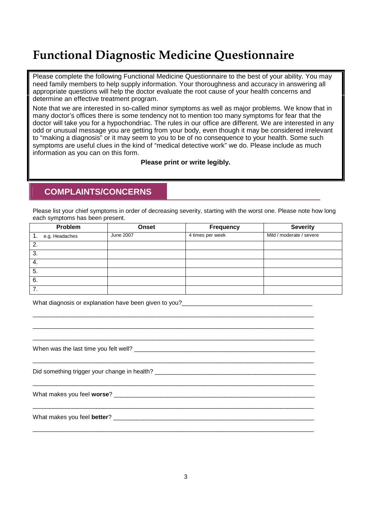# **Functional Diagnostic Medicine Questionnaire**

Please complete the following Functional Medicine Questionnaire to the best of your ability. You may need family members to help supply information. Your thoroughness and accuracy in answering all appropriate questions will help the doctor evaluate the root cause of your health concerns and determine an effective treatment program.

Note that we are interested in so-called minor symptoms as well as major problems. We know that in many doctor's offices there is some tendency not to mention too many symptoms for fear that the doctor will take you for a hypochondriac. The rules in our office are different. We are interested in any odd or unusual message you are getting from your body, even though it may be considered irrelevant to "making a diagnosis" or it may seem to you to be of no consequence to your health. Some such symptoms are useful clues in the kind of "medical detective work" we do. Please include as much information as you can on this form.

**Please print or write legibly.**

### **COMPLAINTS/CONCERNS**

Please list your chief symptoms in order of decreasing severity, starting with the worst one. Please note how long each symptoms has been present.

|    | Problem        | Onset     | Frequency        | <b>Severity</b>          |
|----|----------------|-----------|------------------|--------------------------|
| 1. | e.g. Headaches | June 2007 | 4 times per week | Mild / moderate / severe |
| 2. |                |           |                  |                          |
| 3. |                |           |                  |                          |
| 4. |                |           |                  |                          |
| 5. |                |           |                  |                          |
| 6. |                |           |                  |                          |
| 7. |                |           |                  |                          |

 $\_$  ,  $\_$  ,  $\_$  ,  $\_$  ,  $\_$  ,  $\_$  ,  $\_$  ,  $\_$  ,  $\_$  ,  $\_$  ,  $\_$  ,  $\_$  ,  $\_$  ,  $\_$  ,  $\_$  ,  $\_$  ,  $\_$  ,  $\_$  ,  $\_$  ,  $\_$  ,  $\_$  ,  $\_$  ,  $\_$  ,  $\_$  ,  $\_$  ,  $\_$  ,  $\_$  ,  $\_$  ,  $\_$  ,  $\_$  ,  $\_$  ,  $\_$  ,  $\_$  ,  $\_$  ,  $\_$  ,  $\_$  ,  $\_$  ,  $\_$  ,  $\_$  ,  $\_$  ,  $\_$  ,  $\_$  ,  $\_$  ,  $\_$  ,  $\_$  ,  $\_$  ,  $\_$  ,  $\_$  ,  $\_$  ,  $\_$  ,  $\_$  ,  $\_$  ,  $\_$  ,  $\_$  ,  $\_$  ,  $\_$  ,  $\_$  ,  $\_$  ,  $\_$  ,  $\_$  ,  $\_$  ,  $\_$  ,  $\_$  ,  $\_$  ,  $\_$  ,  $\_$  ,  $\_$  ,  $\_$  ,  $\_$  ,  $\_$  ,  $\_$  ,  $\_$  ,  $\_$  ,  $\_$  , \_\_\_\_\_\_\_\_\_\_\_\_\_\_\_\_\_\_\_\_\_\_\_\_\_\_\_\_\_\_\_\_\_\_\_\_\_\_\_\_\_\_\_\_\_\_\_\_\_\_\_\_\_\_\_\_\_\_\_\_\_\_\_\_\_\_\_\_\_\_\_\_\_\_\_\_\_\_\_\_\_\_\_\_

\_\_\_\_\_\_\_\_\_\_\_\_\_\_\_\_\_\_\_\_\_\_\_\_\_\_\_\_\_\_\_\_\_\_\_\_\_\_\_\_\_\_\_\_\_\_\_\_\_\_\_\_\_\_\_\_\_\_\_\_\_\_\_\_\_\_\_\_\_\_\_\_\_\_\_\_\_\_\_\_\_\_\_\_

 $\_$  ,  $\_$  ,  $\_$  ,  $\_$  ,  $\_$  ,  $\_$  ,  $\_$  ,  $\_$  ,  $\_$  ,  $\_$  ,  $\_$  ,  $\_$  ,  $\_$  ,  $\_$  ,  $\_$  ,  $\_$  ,  $\_$  ,  $\_$  ,  $\_$  ,  $\_$  ,  $\_$  ,  $\_$  ,  $\_$  ,  $\_$  ,  $\_$  ,  $\_$  ,  $\_$  ,  $\_$  ,  $\_$  ,  $\_$  ,  $\_$  ,  $\_$  ,  $\_$  ,  $\_$  ,  $\_$  ,  $\_$  ,  $\_$  ,

\_\_\_\_\_\_\_\_\_\_\_\_\_\_\_\_\_\_\_\_\_\_\_\_\_\_\_\_\_\_\_\_\_\_\_\_\_\_\_\_\_\_\_\_\_\_\_\_\_\_\_\_\_\_\_\_\_\_\_\_\_\_\_\_\_\_\_\_\_\_\_\_\_\_\_\_\_\_\_\_\_\_\_\_

\_\_\_\_\_\_\_\_\_\_\_\_\_\_\_\_\_\_\_\_\_\_\_\_\_\_\_\_\_\_\_\_\_\_\_\_\_\_\_\_\_\_\_\_\_\_\_\_\_\_\_\_\_\_\_\_\_\_\_\_\_\_\_\_\_\_\_\_\_\_\_\_\_\_\_\_\_\_\_\_\_\_\_\_

What diagnosis or explanation have been given to you?

| When was the last time you felt well? |  |
|---------------------------------------|--|
|                                       |  |

Did something trigger your change in health?

What makes you feel **worse**?

What makes you feel **better**?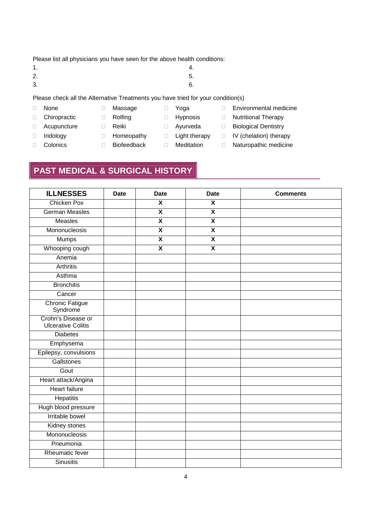Please list all physicians you have seen for the above health conditions:

- $1.$  4.
- $2.5.5.$
- $3.6.$
- Please check all the Alternative Treatments you have tried for your condition(s)
- None
- Chiropractic
- Acupuncture
- Reiki

 Massage □ Rolfing

- **Homeopathy** Biofeedback
- **Light therapy**
- 
- -

□ Yoga □ Hypnosis

- Ayurveda
- Meditation
- □ Biological Dentistry
- IV (chelation) therapy

Environmental medicine

Naturopathic medicine

- □ Iridology Colonics
- 

# **PAST MEDICAL & SURGICAL HISTORY**

| <b>ILLNESSES</b>                                | <b>Date</b> | <b>Date</b>             | <b>Date</b>             | <b>Comments</b> |
|-------------------------------------------------|-------------|-------------------------|-------------------------|-----------------|
| <b>Chicken Pox</b>                              |             | $\overline{\mathsf{x}}$ | $\overline{\mathbf{x}}$ |                 |
| <b>German Measles</b>                           |             | $\overline{\mathbf{x}}$ | $\overline{\mathbf{x}}$ |                 |
| Measles                                         |             | $\overline{\mathsf{x}}$ | $\overline{\mathsf{x}}$ |                 |
| Mononucleosis                                   |             | $\overline{\mathbf{X}}$ | X                       |                 |
| <b>Mumps</b>                                    |             | $\overline{\mathbf{x}}$ | $\overline{\mathbf{x}}$ |                 |
| Whooping cough                                  |             | $\overline{\mathbf{x}}$ | $\overline{\mathbf{X}}$ |                 |
| Anemia                                          |             |                         |                         |                 |
| <b>Arthritis</b>                                |             |                         |                         |                 |
| Asthma                                          |             |                         |                         |                 |
| <b>Bronchitis</b>                               |             |                         |                         |                 |
| Cancer                                          |             |                         |                         |                 |
| <b>Chronic Fatigue</b><br>Syndrome              |             |                         |                         |                 |
| Crohn's Disease or<br><b>Ulcerative Colitis</b> |             |                         |                         |                 |
| <b>Diabetes</b>                                 |             |                         |                         |                 |
| Emphysema                                       |             |                         |                         |                 |
| Epilepsy, convulsions                           |             |                         |                         |                 |
| Gallstones                                      |             |                         |                         |                 |
| Gout                                            |             |                         |                         |                 |
| Heart attack/Angina                             |             |                         |                         |                 |
| <b>Heart failure</b>                            |             |                         |                         |                 |
| <b>Hepatitis</b>                                |             |                         |                         |                 |
| Hugh blood pressure                             |             |                         |                         |                 |
| <b>Irritable bowel</b>                          |             |                         |                         |                 |
| Kidney stones                                   |             |                         |                         |                 |
| Mononucleosis                                   |             |                         |                         |                 |
| Pneumonia                                       |             |                         |                         |                 |
| <b>Rheumatic fever</b>                          |             |                         |                         |                 |
| <b>Sinusitis</b>                                |             |                         |                         |                 |

- 
- 
- □ Nutritional Therapy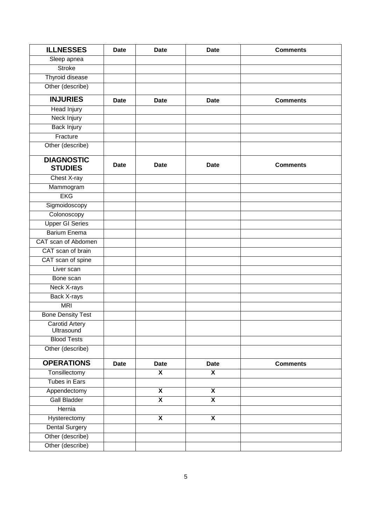| <b>ILLNESSES</b>                    | <b>Date</b> | <b>Date</b>             | <b>Date</b>             | <b>Comments</b> |
|-------------------------------------|-------------|-------------------------|-------------------------|-----------------|
| Sleep apnea                         |             |                         |                         |                 |
| <b>Stroke</b>                       |             |                         |                         |                 |
| Thyroid disease                     |             |                         |                         |                 |
| Other (describe)                    |             |                         |                         |                 |
| <b>INJURIES</b>                     | <b>Date</b> | <b>Date</b>             | <b>Date</b>             | <b>Comments</b> |
| <b>Head Injury</b>                  |             |                         |                         |                 |
| Neck Injury                         |             |                         |                         |                 |
| <b>Back Injury</b>                  |             |                         |                         |                 |
| Fracture                            |             |                         |                         |                 |
| Other (describe)                    |             |                         |                         |                 |
| <b>DIAGNOSTIC</b><br><b>STUDIES</b> | <b>Date</b> | <b>Date</b>             | <b>Date</b>             | <b>Comments</b> |
| Chest X-ray                         |             |                         |                         |                 |
| Mammogram                           |             |                         |                         |                 |
| <b>EKG</b>                          |             |                         |                         |                 |
| Sigmoidoscopy                       |             |                         |                         |                 |
| Colonoscopy                         |             |                         |                         |                 |
| <b>Upper GI Series</b>              |             |                         |                         |                 |
| <b>Barium Enema</b>                 |             |                         |                         |                 |
| CAT scan of Abdomen                 |             |                         |                         |                 |
| CAT scan of brain                   |             |                         |                         |                 |
| CAT scan of spine                   |             |                         |                         |                 |
| Liver scan                          |             |                         |                         |                 |
| Bone scan                           |             |                         |                         |                 |
| Neck X-rays                         |             |                         |                         |                 |
| <b>Back X-rays</b>                  |             |                         |                         |                 |
| <b>MRI</b>                          |             |                         |                         |                 |
| <b>Bone Density Test</b>            |             |                         |                         |                 |
| <b>Carotid Artery</b><br>Ultrasound |             |                         |                         |                 |
| <b>Blood Tests</b>                  |             |                         |                         |                 |
| Other (describe)                    |             |                         |                         |                 |
| <b>OPERATIONS</b>                   | <b>Date</b> | <b>Date</b>             | <b>Date</b>             | <b>Comments</b> |
| Tonsillectomy                       |             | $\overline{\mathbf{x}}$ | $\overline{\mathsf{x}}$ |                 |
| <b>Tubes in Ears</b>                |             |                         |                         |                 |
| Appendectomy                        |             | $\overline{\mathbf{X}}$ | $\overline{\mathbf{x}}$ |                 |
| <b>Gall Bladder</b>                 |             | $\overline{\mathbf{X}}$ | $\overline{\mathsf{x}}$ |                 |
| Hernia                              |             |                         |                         |                 |
| Hysterectomy                        |             | $\overline{\mathbf{x}}$ | $\overline{\mathbf{x}}$ |                 |
| <b>Dental Surgery</b>               |             |                         |                         |                 |
| Other (describe)                    |             |                         |                         |                 |
| Other (describe)                    |             |                         |                         |                 |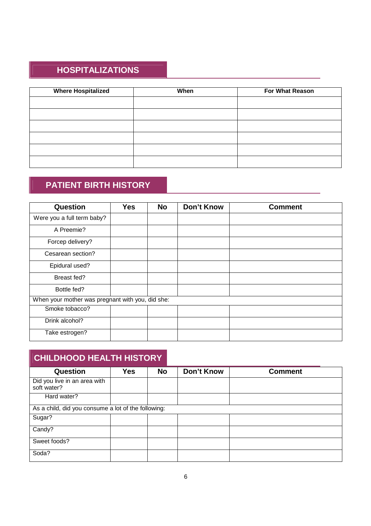# **HOSPITALIZATIONS**

| <b>Where Hospitalized</b> | When | <b>For What Reason</b> |
|---------------------------|------|------------------------|
|                           |      |                        |
|                           |      |                        |
|                           |      |                        |
|                           |      |                        |
|                           |      |                        |
|                           |      |                        |

# **PATIENT BIRTH HISTORY**

| Question                                         | <b>Yes</b> | <b>No</b> | <b>Don't Know</b> | <b>Comment</b> |
|--------------------------------------------------|------------|-----------|-------------------|----------------|
| Were you a full term baby?                       |            |           |                   |                |
| A Preemie?                                       |            |           |                   |                |
| Forcep delivery?                                 |            |           |                   |                |
| Cesarean section?                                |            |           |                   |                |
| Epidural used?                                   |            |           |                   |                |
| Breast fed?                                      |            |           |                   |                |
| Bottle fed?                                      |            |           |                   |                |
| When your mother was pregnant with you, did she: |            |           |                   |                |
| Smoke tobacco?                                   |            |           |                   |                |
| Drink alcohol?                                   |            |           |                   |                |
| Take estrogen?                                   |            |           |                   |                |

| <b>CHILDHOOD HEALTH HISTORY</b>                     |            |           |                   |                |
|-----------------------------------------------------|------------|-----------|-------------------|----------------|
| <b>Question</b>                                     | <b>Yes</b> | <b>No</b> | <b>Don't Know</b> | <b>Comment</b> |
| Did you live in an area with<br>soft water?         |            |           |                   |                |
| Hard water?                                         |            |           |                   |                |
| As a child, did you consume a lot of the following: |            |           |                   |                |
| Sugar?                                              |            |           |                   |                |
| Candy?                                              |            |           |                   |                |
| Sweet foods?                                        |            |           |                   |                |
| Soda?                                               |            |           |                   |                |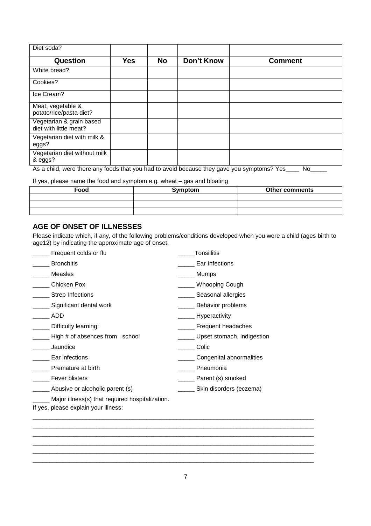| Diet soda?                                         |            |           |                   |                |
|----------------------------------------------------|------------|-----------|-------------------|----------------|
| Question                                           | <b>Yes</b> | <b>No</b> | <b>Don't Know</b> | <b>Comment</b> |
| White bread?                                       |            |           |                   |                |
| Cookies?                                           |            |           |                   |                |
| Ice Cream?                                         |            |           |                   |                |
| Meat, vegetable &<br>potato/rice/pasta diet?       |            |           |                   |                |
| Vegetarian & grain based<br>diet with little meat? |            |           |                   |                |
| Vegetarian diet with milk &<br>eggs?               |            |           |                   |                |
| Vegetarian diet without milk<br>& eggs?            |            |           |                   |                |

As a child, were there any foods that you had to avoid because they gave you symptoms? Yes\_\_\_\_ No\_\_\_\_\_

If yes, please name the food and symptom e.g. wheat – gas and bloating

| Food | Symptom | <b>Other comments</b> |
|------|---------|-----------------------|
|      |         |                       |
|      |         |                       |
|      |         |                       |

#### **AGE OF ONSET OF ILLNESSES**

Please indicate which, if any, of the following problems/conditions developed when you were a child (ages birth to age12) by indicating the approximate age of onset.

| Frequent colds or flu                                                                   | Tonsillitis                 |
|-----------------------------------------------------------------------------------------|-----------------------------|
| <b>Bronchitis</b>                                                                       | Ear Infections              |
| Measles                                                                                 | Mumps                       |
| Chicken Pox                                                                             | __ Whooping Cough           |
| Strep Infections                                                                        | Seasonal allergies          |
| Significant dental work                                                                 | Behavior problems           |
| ADD                                                                                     | _______ Hyperactivity       |
| Difficulty learning:                                                                    | Frequent headaches          |
| High # of absences from school                                                          | Upset stomach, indigestion  |
| Jaundice                                                                                | Colic                       |
| Ear infections                                                                          | Congenital abnormalities    |
| Premature at birth                                                                      | Pneumonia                   |
| Fever blisters                                                                          | Parent (s) smoked           |
| _ Abusive or alcoholic parent (s)                                                       | ___ Skin disorders (eczema) |
| Major illness(s) that required hospitalization.<br>If yes, please explain your illness: |                             |
|                                                                                         |                             |

\_\_\_\_\_\_\_\_\_\_\_\_\_\_\_\_\_\_\_\_\_\_\_\_\_\_\_\_\_\_\_\_\_\_\_\_\_\_\_\_\_\_\_\_\_\_\_\_\_\_\_\_\_\_\_\_\_\_\_\_\_\_\_\_\_\_\_\_\_\_\_\_\_\_\_\_\_\_\_\_\_\_\_\_ \_\_\_\_\_\_\_\_\_\_\_\_\_\_\_\_\_\_\_\_\_\_\_\_\_\_\_\_\_\_\_\_\_\_\_\_\_\_\_\_\_\_\_\_\_\_\_\_\_\_\_\_\_\_\_\_\_\_\_\_\_\_\_\_\_\_\_\_\_\_\_\_\_\_\_\_\_\_\_\_\_\_\_\_ \_\_\_\_\_\_\_\_\_\_\_\_\_\_\_\_\_\_\_\_\_\_\_\_\_\_\_\_\_\_\_\_\_\_\_\_\_\_\_\_\_\_\_\_\_\_\_\_\_\_\_\_\_\_\_\_\_\_\_\_\_\_\_\_\_\_\_\_\_\_\_\_\_\_\_\_\_\_\_\_\_\_\_\_  $\_$  ,  $\_$  ,  $\_$  ,  $\_$  ,  $\_$  ,  $\_$  ,  $\_$  ,  $\_$  ,  $\_$  ,  $\_$  ,  $\_$  ,  $\_$  ,  $\_$  ,  $\_$  ,  $\_$  ,  $\_$  ,  $\_$  ,  $\_$  ,  $\_$  ,  $\_$  ,  $\_$  ,  $\_$  ,  $\_$  ,  $\_$  ,  $\_$  ,  $\_$  ,  $\_$  ,  $\_$  ,  $\_$  ,  $\_$  ,  $\_$  ,  $\_$  ,  $\_$  ,  $\_$  ,  $\_$  ,  $\_$  ,  $\_$  , \_\_\_\_\_\_\_\_\_\_\_\_\_\_\_\_\_\_\_\_\_\_\_\_\_\_\_\_\_\_\_\_\_\_\_\_\_\_\_\_\_\_\_\_\_\_\_\_\_\_\_\_\_\_\_\_\_\_\_\_\_\_\_\_\_\_\_\_\_\_\_\_\_\_\_\_\_\_\_\_\_\_\_\_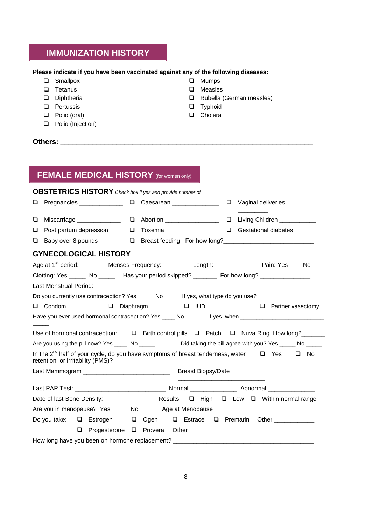#### **IMMUNIZATION HISTORY**

#### **Please indicate if you have been vaccinated against any of the following diseases:**

- □ Smallpox
- $\Box$  Tetanus
- Diphtheria
- **Q** Pertussis
- D Polio (oral)
- **D** Polio (Injection)
- Mumps
- Measles
- □ Rubella (German measles)
- **D** Typhoid
- □ Cholera

#### **Others:** *Communication in the set of the set of the set of the set of the set of the set of the set of the set of the set of the set of the set of the set of the set of the set of the set of the set of the set of the se*

### **FEMALE MEDICAL HISTORY** (for women only) **OBSTETRICS HISTORY** *Check box if yes and provide number of* □ Pregnancies □ Caesarean □ Vaginal deliveries \_\_\_\_\_\_\_\_\_ **Q** Miscarriage \_\_\_\_\_\_\_\_\_\_\_\_\_\_\_ Q Abortion \_\_\_\_\_\_\_\_\_\_\_\_\_\_\_\_ Q Living Children \_\_\_\_\_\_\_\_\_\_\_ Post partum depression Toxemia Gestational diabetes □ Baby over 8 pounds □ Breast feeding For how long?<br>□ Breast feeding For how long? **GYNECOLOGICAL HISTORY** Age at 1<sup>st</sup> period: Menses Frequency: \_\_\_\_\_\_ Length: \_\_\_\_\_\_\_\_ Pain: Yes\_\_\_\_ No \_\_\_ Clotting: Yes \_\_\_\_\_ No \_\_\_\_\_ Has your period skipped? \_\_\_\_\_\_\_ For how long? \_\_\_\_\_\_\_\_\_\_ Last Menstrual Period: Do you currently use contraception? Yes \_\_\_\_\_ No \_\_\_\_\_ If yes, what type do you use? **Q** Condom Q Diaphragm Q IUD Q Partner vasectomy Have you ever used hormonal contraception? Yes \_\_\_\_ No If yes, when \_\_\_\_\_\_\_\_\_\_\_\_\_\_\_\_\_\_\_\_\_\_\_\_\_\_  $\overline{\phantom{a}}$ Use of hormonal contraception:  $\square$  Birth control pills  $\square$  Patch  $\square$  Nuva Ring How long? Are you using the pill now? Yes \_\_\_\_ No \_\_\_\_\_ Did taking the pill agree with you? Yes \_\_\_\_ No \_\_\_\_ In the 2<sup>nd</sup> half of your cycle, do you have symptoms of breast tenderness, water  $\Box$  Yes  $\Box$  No retention, or irritability (PMS)? Last Mammogram \_\_\_\_\_\_\_\_\_\_\_\_\_\_\_\_\_\_\_\_\_\_\_\_\_\_ Breast Biopsy/Date \_\_\_\_\_\_\_\_\_\_\_\_\_\_\_\_\_\_\_\_\_\_\_\_\_\_ Last PAP Test: \_\_\_\_\_\_\_\_\_\_\_\_\_\_\_\_\_\_\_\_\_\_\_\_\_\_\_ Normal \_\_\_\_\_\_\_\_\_\_\_\_\_\_ Abnormal \_\_\_\_\_\_\_\_\_\_\_\_\_\_ Date of last Bone Density: \_\_\_\_\_\_\_\_\_\_\_\_\_\_ Results: High Low Within normal range Are you in menopause? Yes \_\_\_\_\_ No \_\_\_\_\_\_ Age at Menopause \_\_\_\_\_\_\_\_\_\_ Do you take:  $\Box$  Estrogen  $\Box$  Ogen  $\Box$  Estrace  $\Box$  Premarin Other Progesterone Provera Other \_\_\_\_\_\_\_\_\_\_\_\_\_\_\_\_\_\_\_\_\_\_\_\_\_\_\_\_\_\_\_\_\_\_\_\_\_ How long have you been on hormone replacement? \_\_\_\_\_\_\_\_\_\_\_\_\_\_\_\_\_\_\_\_\_\_\_\_\_\_\_\_\_\_\_\_\_

**\_\_\_\_\_\_\_\_\_\_\_\_\_\_\_\_\_\_\_\_\_\_\_\_\_\_\_\_\_\_\_\_\_\_\_\_\_\_\_\_\_\_\_\_\_\_\_\_\_\_\_\_\_\_\_\_\_\_\_\_\_\_\_\_\_\_\_\_\_\_**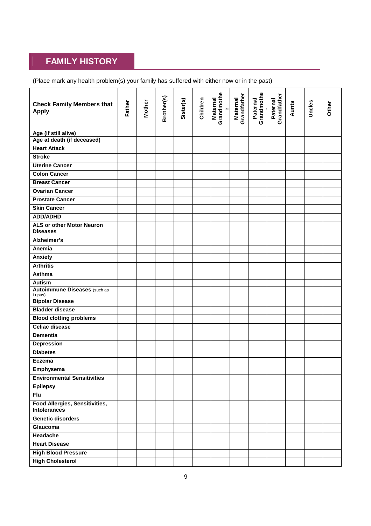# **FAMILY HISTORY**

(Place mark any health problem(s) your family has suffered with either now or in the past)

| <b>Check Family Members that</b><br><b>Apply</b>             | Father | <b>Mother</b> | Brother(s) | Sister(s) | Children | Grandmothe<br><b>Maternal</b><br>$\blacksquare$ | Grandfather<br><b>Maternal</b> | Paternal<br>Grandmothe | Paternal<br>Grandfather | Aunts | Uncles | Other |
|--------------------------------------------------------------|--------|---------------|------------|-----------|----------|-------------------------------------------------|--------------------------------|------------------------|-------------------------|-------|--------|-------|
| Age (if still alive)                                         |        |               |            |           |          |                                                 |                                |                        |                         |       |        |       |
| Age at death (if deceased)                                   |        |               |            |           |          |                                                 |                                |                        |                         |       |        |       |
| <b>Heart Attack</b>                                          |        |               |            |           |          |                                                 |                                |                        |                         |       |        |       |
| <b>Stroke</b>                                                |        |               |            |           |          |                                                 |                                |                        |                         |       |        |       |
| <b>Uterine Cancer</b>                                        |        |               |            |           |          |                                                 |                                |                        |                         |       |        |       |
| <b>Colon Cancer</b>                                          |        |               |            |           |          |                                                 |                                |                        |                         |       |        |       |
| <b>Breast Cancer</b>                                         |        |               |            |           |          |                                                 |                                |                        |                         |       |        |       |
| <b>Ovarian Cancer</b>                                        |        |               |            |           |          |                                                 |                                |                        |                         |       |        |       |
| <b>Prostate Cancer</b>                                       |        |               |            |           |          |                                                 |                                |                        |                         |       |        |       |
| <b>Skin Cancer</b>                                           |        |               |            |           |          |                                                 |                                |                        |                         |       |        |       |
| <b>ADD/ADHD</b>                                              |        |               |            |           |          |                                                 |                                |                        |                         |       |        |       |
| <b>ALS or other Motor Neuron</b><br><b>Diseases</b>          |        |               |            |           |          |                                                 |                                |                        |                         |       |        |       |
| Alzheimer's                                                  |        |               |            |           |          |                                                 |                                |                        |                         |       |        |       |
| Anemia                                                       |        |               |            |           |          |                                                 |                                |                        |                         |       |        |       |
| Anxiety                                                      |        |               |            |           |          |                                                 |                                |                        |                         |       |        |       |
| <b>Arthritis</b>                                             |        |               |            |           |          |                                                 |                                |                        |                         |       |        |       |
| Asthma                                                       |        |               |            |           |          |                                                 |                                |                        |                         |       |        |       |
| Autism                                                       |        |               |            |           |          |                                                 |                                |                        |                         |       |        |       |
| <b>Autoimmune Diseases</b> (such as<br>Lupus)                |        |               |            |           |          |                                                 |                                |                        |                         |       |        |       |
| <b>Bipolar Disease</b>                                       |        |               |            |           |          |                                                 |                                |                        |                         |       |        |       |
| <b>Bladder disease</b>                                       |        |               |            |           |          |                                                 |                                |                        |                         |       |        |       |
| <b>Blood clotting problems</b>                               |        |               |            |           |          |                                                 |                                |                        |                         |       |        |       |
| <b>Celiac disease</b>                                        |        |               |            |           |          |                                                 |                                |                        |                         |       |        |       |
| <b>Dementia</b>                                              |        |               |            |           |          |                                                 |                                |                        |                         |       |        |       |
| <b>Depression</b>                                            |        |               |            |           |          |                                                 |                                |                        |                         |       |        |       |
| <b>Diabetes</b>                                              |        |               |            |           |          |                                                 |                                |                        |                         |       |        |       |
| <b>Eczema</b>                                                |        |               |            |           |          |                                                 |                                |                        |                         |       |        |       |
| Emphysema                                                    |        |               |            |           |          |                                                 |                                |                        |                         |       |        |       |
| <b>Environmental Sensitivities</b>                           |        |               |            |           |          |                                                 |                                |                        |                         |       |        |       |
| <b>Epilepsy</b>                                              |        |               |            |           |          |                                                 |                                |                        |                         |       |        |       |
| <b>Flu</b>                                                   |        |               |            |           |          |                                                 |                                |                        |                         |       |        |       |
| <b>Food Allergies, Sensitivities,</b><br><b>Intolerances</b> |        |               |            |           |          |                                                 |                                |                        |                         |       |        |       |
| <b>Genetic disorders</b>                                     |        |               |            |           |          |                                                 |                                |                        |                         |       |        |       |
| <b>Glaucoma</b>                                              |        |               |            |           |          |                                                 |                                |                        |                         |       |        |       |
| <b>Headache</b>                                              |        |               |            |           |          |                                                 |                                |                        |                         |       |        |       |
| <b>Heart Disease</b>                                         |        |               |            |           |          |                                                 |                                |                        |                         |       |        |       |
| <b>High Blood Pressure</b>                                   |        |               |            |           |          |                                                 |                                |                        |                         |       |        |       |
| <b>High Cholesterol</b>                                      |        |               |            |           |          |                                                 |                                |                        |                         |       |        |       |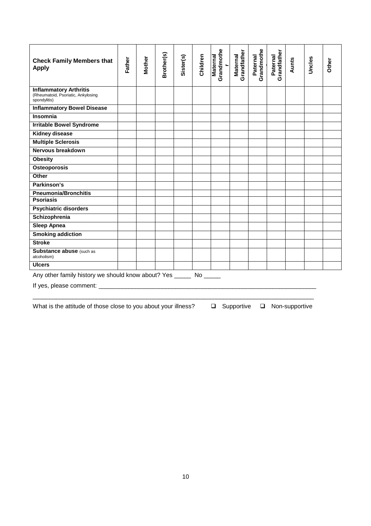| <b>Check Family Members that</b><br><b>Apply</b>                                      | Father | <b>Mother</b> | Brother(s) | Sister(s) | Children | Grandmothe<br><b>Maternal</b><br>$\overline{\phantom{0}}$ | Grandfather<br>Maternal | Grandmothe<br>Paternal | Paternal<br>Grandfather | Aunts | Uncles | Other |
|---------------------------------------------------------------------------------------|--------|---------------|------------|-----------|----------|-----------------------------------------------------------|-------------------------|------------------------|-------------------------|-------|--------|-------|
| <b>Inflammatory Arthritis</b><br>(Rheumatoid, Psoriatic, Ankylosing<br>spondylitis)   |        |               |            |           |          |                                                           |                         |                        |                         |       |        |       |
| <b>Inflammatory Bowel Disease</b>                                                     |        |               |            |           |          |                                                           |                         |                        |                         |       |        |       |
| Insomnia                                                                              |        |               |            |           |          |                                                           |                         |                        |                         |       |        |       |
| <b>Irritable Bowel Syndrome</b>                                                       |        |               |            |           |          |                                                           |                         |                        |                         |       |        |       |
| <b>Kidney disease</b>                                                                 |        |               |            |           |          |                                                           |                         |                        |                         |       |        |       |
| <b>Multiple Sclerosis</b>                                                             |        |               |            |           |          |                                                           |                         |                        |                         |       |        |       |
| Nervous breakdown                                                                     |        |               |            |           |          |                                                           |                         |                        |                         |       |        |       |
| <b>Obesity</b>                                                                        |        |               |            |           |          |                                                           |                         |                        |                         |       |        |       |
| <b>Osteoporosis</b>                                                                   |        |               |            |           |          |                                                           |                         |                        |                         |       |        |       |
| Other                                                                                 |        |               |            |           |          |                                                           |                         |                        |                         |       |        |       |
| Parkinson's                                                                           |        |               |            |           |          |                                                           |                         |                        |                         |       |        |       |
| <b>Pneumonia/Bronchitis</b>                                                           |        |               |            |           |          |                                                           |                         |                        |                         |       |        |       |
| <b>Psoriasis</b>                                                                      |        |               |            |           |          |                                                           |                         |                        |                         |       |        |       |
| <b>Psychiatric disorders</b>                                                          |        |               |            |           |          |                                                           |                         |                        |                         |       |        |       |
| Schizophrenia                                                                         |        |               |            |           |          |                                                           |                         |                        |                         |       |        |       |
| <b>Sleep Apnea</b>                                                                    |        |               |            |           |          |                                                           |                         |                        |                         |       |        |       |
| <b>Smoking addiction</b>                                                              |        |               |            |           |          |                                                           |                         |                        |                         |       |        |       |
| <b>Stroke</b>                                                                         |        |               |            |           |          |                                                           |                         |                        |                         |       |        |       |
| Substance abuse (such as<br>alcoholism)                                               |        |               |            |           |          |                                                           |                         |                        |                         |       |        |       |
| <b>Ulcers</b>                                                                         |        |               |            |           |          |                                                           |                         |                        |                         |       |        |       |
| Any other family history we should know about? Yes _____<br>If yes, please comment: _ |        |               |            |           |          |                                                           |                         |                        |                         |       |        |       |

\_\_\_\_\_\_\_\_\_\_\_\_\_\_\_\_\_\_\_\_\_\_\_\_\_\_\_\_\_\_\_\_\_\_\_\_\_\_\_\_\_\_\_\_\_\_\_\_\_\_\_\_\_\_\_\_\_\_\_\_\_\_\_\_\_\_\_\_\_\_\_\_\_\_\_\_\_\_\_\_\_\_\_\_

What is the attitude of those close to you about your illness?  $\square$  Supportive  $\square$  Non-supportive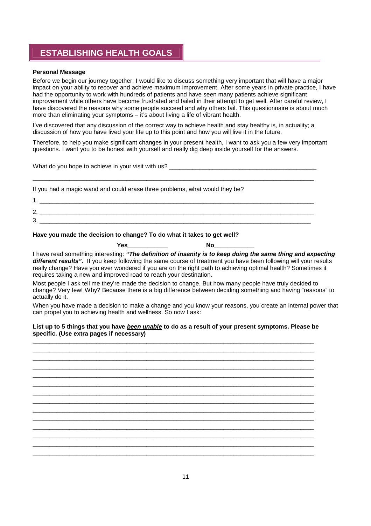### **ESTABLISHING HEALTH GOALS**

#### **Personal Message**

Before we begin our journey together, I would like to discuss something very important that will have a major impact on your ability to recover and achieve maximum improvement. After some years in private practice, I have had the opportunity to work with hundreds of patients and have seen many patients achieve significant improvement while others have become frustrated and failed in their attempt to get well. After careful review, I have discovered the reasons why some people succeed and why others fail. This questionnaire is about much more than eliminating your symptoms – it's about living a life of vibrant health.

I've discovered that any discussion of the correct way to achieve health and stay healthy is, in actuality; a discussion of how you have lived your life up to this point and how you will live it in the future.

Therefore, to help you make significant changes in your present health, I want to ask you a few very important questions. I want you to be honest with yourself and really dig deep inside yourself for the answers.

What do you hope to achieve in your visit with us? \_\_\_\_\_\_\_\_\_\_\_\_\_\_\_\_\_\_\_\_\_\_\_\_\_\_\_\_\_\_\_\_\_\_\_\_\_\_\_\_\_\_\_\_\_\_\_\_\_\_\_\_\_\_\_\_\_\_\_\_\_\_\_\_\_\_\_\_\_\_\_\_\_\_\_\_\_\_\_\_\_\_\_\_

If you had a magic wand and could erase three problems, what would they be?

| ⌒<br><u>.</u> |  |
|---------------|--|
| 2<br>ັ        |  |

#### **Have you made the decision to change? To do what it takes to get well?**

**Yes\_\_\_\_\_\_\_\_\_\_\_\_ No\_\_\_\_\_\_\_\_\_\_\_\_**

I have read something interesting: *"The definition of insanity is to keep doing the same thing and expecting different results".* If you keep following the same course of treatment you have been following will your results really change? Have you ever wondered if you are on the right path to achieving optimal health? Sometimes it requires taking a new and improved road to reach your destination.

Most people I ask tell me they're made the decision to change. But how many people have truly decided to change? Very few! Why? Because there is a big difference between deciding something and having "reasons" to actually do it.

When you have made a decision to make a change and you know your reasons, you create an internal power that can propel you to achieving health and wellness. So now I ask:

#### **List up to 5 things that you have** *been unable* **to do as a result of your present symptoms. Please be specific. (Use extra pages if necessary)** \_\_\_\_\_\_\_\_\_\_\_\_\_\_\_\_\_\_\_\_\_\_\_\_\_\_\_\_\_\_\_\_\_\_\_\_\_\_\_\_\_\_\_\_\_\_\_\_\_\_\_\_\_\_\_\_\_\_\_\_\_\_\_\_\_\_\_\_\_\_\_\_\_\_\_\_\_\_\_\_\_\_\_\_

 $\_$  ,  $\_$  ,  $\_$  ,  $\_$  ,  $\_$  ,  $\_$  ,  $\_$  ,  $\_$  ,  $\_$  ,  $\_$  ,  $\_$  ,  $\_$  ,  $\_$  ,  $\_$  ,  $\_$  ,  $\_$  ,  $\_$  ,  $\_$  ,  $\_$  ,  $\_$  ,  $\_$  ,  $\_$  ,  $\_$  ,  $\_$  ,  $\_$  ,  $\_$  ,  $\_$  ,  $\_$  ,  $\_$  ,  $\_$  ,  $\_$  ,  $\_$  ,  $\_$  ,  $\_$  ,  $\_$  ,  $\_$  ,  $\_$  ,  $\_$  ,  $\_$  ,  $\_$  ,  $\_$  ,  $\_$  ,  $\_$  ,  $\_$  ,  $\_$  ,  $\_$  ,  $\_$  ,  $\_$  ,  $\_$  ,  $\_$  ,  $\_$  ,  $\_$  ,  $\_$  ,  $\_$  ,  $\_$  ,  $\_$  ,  $\_$  ,  $\_$  ,  $\_$  ,  $\_$  ,  $\_$  ,  $\_$  ,  $\_$  ,  $\_$  ,  $\_$  ,  $\_$  ,  $\_$  ,  $\_$  ,  $\_$  ,  $\_$  ,  $\_$  ,  $\_$  ,  $\_$  ,  $\_$  , \_\_\_\_\_\_\_\_\_\_\_\_\_\_\_\_\_\_\_\_\_\_\_\_\_\_\_\_\_\_\_\_\_\_\_\_\_\_\_\_\_\_\_\_\_\_\_\_\_\_\_\_\_\_\_\_\_\_\_\_\_\_\_\_\_\_\_\_\_\_\_\_\_\_\_\_\_\_\_\_\_\_\_\_ \_\_\_\_\_\_\_\_\_\_\_\_\_\_\_\_\_\_\_\_\_\_\_\_\_\_\_\_\_\_\_\_\_\_\_\_\_\_\_\_\_\_\_\_\_\_\_\_\_\_\_\_\_\_\_\_\_\_\_\_\_\_\_\_\_\_\_\_\_\_\_\_\_\_\_\_\_\_\_\_\_\_\_\_ \_\_\_\_\_\_\_\_\_\_\_\_\_\_\_\_\_\_\_\_\_\_\_\_\_\_\_\_\_\_\_\_\_\_\_\_\_\_\_\_\_\_\_\_\_\_\_\_\_\_\_\_\_\_\_\_\_\_\_\_\_\_\_\_\_\_\_\_\_\_\_\_\_\_\_\_\_\_\_\_\_\_\_\_ \_\_\_\_\_\_\_\_\_\_\_\_\_\_\_\_\_\_\_\_\_\_\_\_\_\_\_\_\_\_\_\_\_\_\_\_\_\_\_\_\_\_\_\_\_\_\_\_\_\_\_\_\_\_\_\_\_\_\_\_\_\_\_\_\_\_\_\_\_\_\_\_\_\_\_\_\_\_\_\_\_\_\_\_ \_\_\_\_\_\_\_\_\_\_\_\_\_\_\_\_\_\_\_\_\_\_\_\_\_\_\_\_\_\_\_\_\_\_\_\_\_\_\_\_\_\_\_\_\_\_\_\_\_\_\_\_\_\_\_\_\_\_\_\_\_\_\_\_\_\_\_\_\_\_\_\_\_\_\_\_\_\_\_\_\_\_\_\_ \_\_\_\_\_\_\_\_\_\_\_\_\_\_\_\_\_\_\_\_\_\_\_\_\_\_\_\_\_\_\_\_\_\_\_\_\_\_\_\_\_\_\_\_\_\_\_\_\_\_\_\_\_\_\_\_\_\_\_\_\_\_\_\_\_\_\_\_\_\_\_\_\_\_\_\_\_\_\_\_\_\_\_\_ \_\_\_\_\_\_\_\_\_\_\_\_\_\_\_\_\_\_\_\_\_\_\_\_\_\_\_\_\_\_\_\_\_\_\_\_\_\_\_\_\_\_\_\_\_\_\_\_\_\_\_\_\_\_\_\_\_\_\_\_\_\_\_\_\_\_\_\_\_\_\_\_\_\_\_\_\_\_\_\_\_\_\_\_ \_\_\_\_\_\_\_\_\_\_\_\_\_\_\_\_\_\_\_\_\_\_\_\_\_\_\_\_\_\_\_\_\_\_\_\_\_\_\_\_\_\_\_\_\_\_\_\_\_\_\_\_\_\_\_\_\_\_\_\_\_\_\_\_\_\_\_\_\_\_\_\_\_\_\_\_\_\_\_\_\_\_\_\_ \_\_\_\_\_\_\_\_\_\_\_\_\_\_\_\_\_\_\_\_\_\_\_\_\_\_\_\_\_\_\_\_\_\_\_\_\_\_\_\_\_\_\_\_\_\_\_\_\_\_\_\_\_\_\_\_\_\_\_\_\_\_\_\_\_\_\_\_\_\_\_\_\_\_\_\_\_\_\_\_\_\_\_\_ \_\_\_\_\_\_\_\_\_\_\_\_\_\_\_\_\_\_\_\_\_\_\_\_\_\_\_\_\_\_\_\_\_\_\_\_\_\_\_\_\_\_\_\_\_\_\_\_\_\_\_\_\_\_\_\_\_\_\_\_\_\_\_\_\_\_\_\_\_\_\_\_\_\_\_\_\_\_\_\_\_\_\_\_ \_\_\_\_\_\_\_\_\_\_\_\_\_\_\_\_\_\_\_\_\_\_\_\_\_\_\_\_\_\_\_\_\_\_\_\_\_\_\_\_\_\_\_\_\_\_\_\_\_\_\_\_\_\_\_\_\_\_\_\_\_\_\_\_\_\_\_\_\_\_\_\_\_\_\_\_\_\_\_\_\_\_\_\_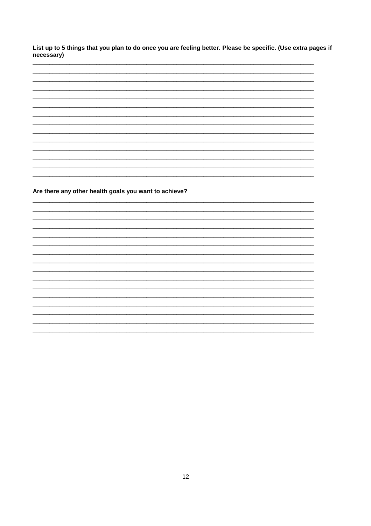List up to 5 things that you plan to do once you are feeling better. Please be specific. (Use extra pages if necessary)

Are there any other health goals you want to achieve?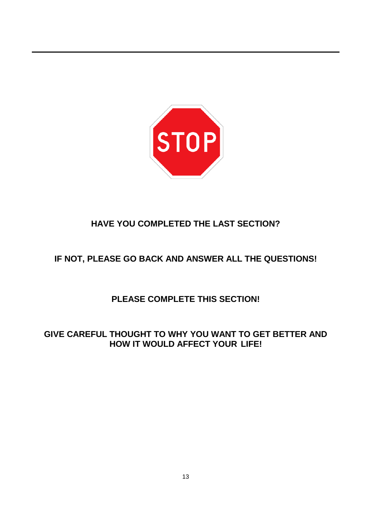

# **HAVE YOU COMPLETED THE LAST SECTION?**

# **IF NOT, PLEASE GO BACK AND ANSWER ALL THE QUESTIONS!**

# **PLEASE COMPLETE THIS SECTION!**

## **GIVE CAREFUL THOUGHT TO WHY YOU WANT TO GET BETTER AND HOW IT WOULD AFFECT YOUR LIFE!**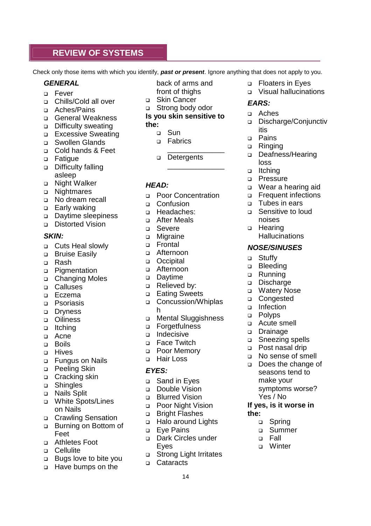#### **REVIEW OF SYSTEMS**

Check only those items with which you identify, *past or present*. Ignore anything that does not apply to you.

#### *GENERAL*

- Fever
- □ Chills/Cold all over
- Aches/Pains
- □ General Weakness
- Difficulty sweating
- **Excessive Sweating**
- □ Swollen Glands
- Cold hands & Feet
- **D** Fatigue
- Difficulty falling asleep
- □ Night Walker
- □ Nightmares
- No dream recall
- □ Early waking
- Daytime sleepiness
- Distorted Vision

#### *SKIN:*

- □ Cuts Heal slowly
- □ Bruise Easily
- n Rash
- D Pigmentation
- □ Changing Moles
- Calluses
- D Eczema
- **D** Psoriasis
- Dryness
- o Oiliness
- ltching
- a Acne
- Boils
- D Hives
- Fungus on Nails
- D Peeling Skin
- □ Cracking skin
- Shingles
- D Nails Split
- White Spots/Lines on Nails
- □ Crawling Sensation
- Burning on Bottom of Feet
- Athletes Foot
- D Cellulite
- Bugs love to bite you
- □ Have bumps on the

back of arms and front of thighs

- □ Skin Cancer
- Strong body odor

#### **Is you skin sensitive to the:**

- - D<sub>B</sub> Sun **D** Fabrics
	- \_\_\_\_\_\_\_\_\_\_\_\_\_\_
	- Detergents

\_\_\_\_\_\_\_\_\_\_\_\_\_\_

#### *HEAD:*

- **Poor Concentration**
- □ Confusion
- **D** Headaches:
- After Meals
- □ Severe
- **D** Migraine
- Frontal
- Afternoon
- o Occipital
- □ Afternoon
- Davtime
- □ Relieved by:
- Eating Sweets
- Concussion/Whiplas h
- Mental Sluggishness
- **D** Forgetfulness
- ndecisive
- □ Face Twitch
- Poor Memory
- □ Hair Loss

#### *EYES:*

- □ Sand in Eves
- Double Vision
- **Blurred Vision**
- □ Poor Night Vision
- Bright Flashes
- □ Halo around Lights
- D Eve Pains
- Dark Circles under Eyes
- □ Strong Light Irritates
- □ Cataracts
	- 14
- **D** Floaters in Eves
- Visual hallucinations

#### *EARS:*

- Aches
- Discharge/Conjunctiv itis
- D Pains
- □ Ringing
- Deafness/Hearing loss
- ltching
- D Pressure
- Wear a hearing aid
- **D** Frequent infections

**Hallucinations** 

□ Tubes in ears □ Sensitive to loud

*NOSE/SINUSES*

□ Sneezing spells Post nasal drip No sense of smell Does the change of seasons tend to make your

symptoms worse?

Yes / No **If yes, is it worse in**

> □ Spring Summer Fall **D** Winter

**the:**

noises □ Hearing

□ Stuffv D Bleeding □ Running Discharge ■ Watery Nose □ Congested o Infection D Polyps Acute smell Drainage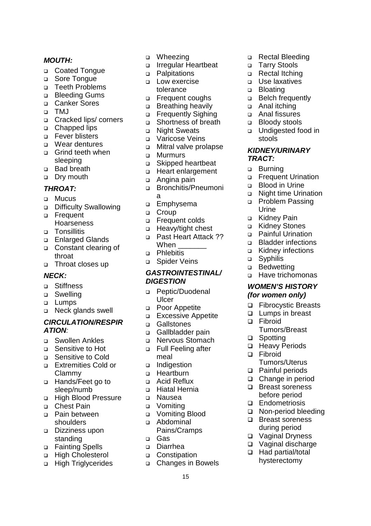#### *MOUTH:*

- Coated Tongue
- □ Sore Tongue
- Teeth Problems
- Bleeding Gums
- Canker Sores
- TMJ
- Cracked lips/ corners
- □ Chapped lips
- □ Fever blisters
- Wear dentures
- □ Grind teeth when sleeping
- □ Bad breath
- □ Dry mouth

#### *THROAT:*

- D Mucus
- Difficulty Swallowing
- □ Frequent Hoarseness
- D Tonsillitis
- □ Enlarged Glands
- Constant clearing of throat
- □ Throat closes up

#### *NECK:*

- Stiffness
- Swelling
- **Lumps**
- Neck glands swell

#### *CIRCULATION/RESPIR ATION:*

- Swollen Ankles
- Sensitive to Hot
- Sensitive to Cold
- Extremities Cold or Clammy
- Hands/Feet go to sleep/numb
- High Blood Pressure
- □ Chest Pain
- Pain between shoulders
- □ Dizziness upon standing
- □ Fainting Spells
- □ High Cholesterol
- **High Triglycerides**
- □ Wheezing
- Irregular Heartbeat
- D Palpitations
- **Low exercise** tolerance
- □ Frequent coughs
- **Breathing heavily**
- Frequently Sighing
- □ Shortness of breath
- □ Night Sweats
- Varicose Veins
- Mitral valve prolapse
- **D** Murmurs
- Skipped heartbeat
- □ Heart enlargement
- Angina pain
- Bronchitis/Pneumoni a
- **Emphysema**
- n Croup
- Frequent colds
- □ Heavy/tight chest
- □ Past Heart Attack ?? When
- D Phlebitis
- Spider Veins

#### *GASTROINTESTINAL/ DIGESTION*

- Peptic/Duodenal **Ulcer**
- □ Poor Appetite
- Excessive Appetite
- □ Gallstones
- Gallbladder pain
- Nervous Stomach
- Full Feeling after meal
- Indigestion
- □ Heartburn
- □ Acid Reflux
- Hiatal Hernia
- Nausea
- □ Vomiting
- Vomiting Blood
- Abdominal
- Pains/Cramps Gas
- Diarrhea
- **Constipation**
- Changes in Bowels

15

- □ Rectal Bleeding
- □ Tarry Stools
- □ Rectal Itching
- **D** Use laxatives
- □ Bloating
- □ Belch frequently
- □ Anal itching
- Anal fissures
- □ Bloody stools
- □ Undigested food in stools

#### *KIDNEY/URINARY TRACT:*

- □ Burning
- Frequent Urination
- Blood in Urine
- Night time Urination
- **D** Problem Passing Urine

□ Painful Urination **Bladder infections** Kidney infections

 Have trichomonas *WOMEN'S HISTORY (for women only)* □ Fibrocystic Breasts □ Lumps in breast

Tumors/Breast

Tumors/Uterus □ Painful periods □ Change in period □ Breast soreness before period □ Endometriosis

 Non-period bleeding □ Breast soreness during period Vaginal Dryness □ Vaginal discharge □ Had partial/total hysterectomy

□ Heavy Periods

□ Kidney Pain Kidney Stones

□ Syphilis □ Bedwetting

□ Fibroid

□ Spotting

□ Fibroid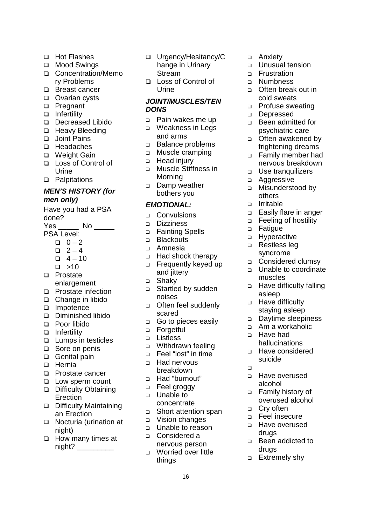- □ Hot Flashes
- □ Mood Swings
- □ Concentration/Memo ry Problems
- □ Breast cancer
- □ Ovarian cysts
- □ Pregnant
- □ Infertility
- Decreased Libido
- □ Heavy Bleeding
- □ Joint Pains
- □ Headaches
- □ Weight Gain
- Loss of Control of Urine
- □ Palpitations

#### *MEN'S HISTORY (for men only)*

Have you had a PSA done? Yes \_\_\_\_\_\_ No \_\_\_\_\_\_ PSA Level:  $0 - 2$  $-2 - 4$ 

- $-4 10$
- $\square$  >10
- 
- □ Prostate enlargement
- □ Prostate infection
- □ Change in libido
- □ Impotence
- Diminished libido
- Poor libido
- $\Box$  Infertility
- **Lumps in testicles**
- □ Sore on penis
- Genital pain
- □ Hernia
- □ Prostate cancer
- □ Low sperm count □ Difficulty Obtaining Erection
- □ Difficulty Maintaining an Erection
- □ Nocturia (urination at night)
- $\Box$  How many times at night? \_\_\_\_\_\_\_\_\_
- Urgency/Hesitancy/C hange in Urinary Stream
- Loss of Control of Urine

#### *JOINT/MUSCLES/TEN DONS*

- Pain wakes me up
- Weakness in Legs and arms
- Balance problems
- □ Muscle cramping
- □ Head injury
- Muscle Stiffness in Morning
- Damp weather bothers you

#### *EMOTIONAL:*

- □ Convulsions
- Dizziness
- □ Fainting Spells
- □ Blackouts
- Amnesia
- □ Had shock therapy
- Frequently keyed up and jittery
- □ Shaky
- □ Startled by sudden noises
- □ Often feel suddenly scared
- Go to pieces easily
- □ Forgetful
- **D** Listless
- Withdrawn feeling
- Feel "lost" in time
- □ Had nervous breakdown
- Had "burnout"
- □ Feel groggy
- Unable to concentrate
- □ Short attention span
- Vision changes
- Unable to reason
- Considered a nervous person
- Worried over little things

16

- □ Anxiety
- Unusual tension
- **D** Frustration
- **D** Numbness
- Often break out in cold sweats
- □ Profuse sweating
- Depressed
- Been admitted for psychiatric care
- □ Often awakened by frightening dreams
- Family member had nervous breakdown
- Use tranquilizers
- □ Aggressive
- □ Misunderstood by others
- n Irritable
- □ Easily flare in anger
- □ Feeling of hostility
- **D** Fatigue
- **D** Hyperactive
- □ Restless leg syndrome
- Considered clumsy
- □ Unable to coordinate muscles
- □ Have difficulty falling asleep
- □ Have difficulty staying asleep
- Daytime sleepiness
- Am a workaholic Have had
- hallucinations
- Have considered suicide
- $\Box$
- Have overused alcohol
- Family history of overused alcohol □ Cry often

Been addicted to

 Feel insecure Have overused drugs

drugs □ Extremely shy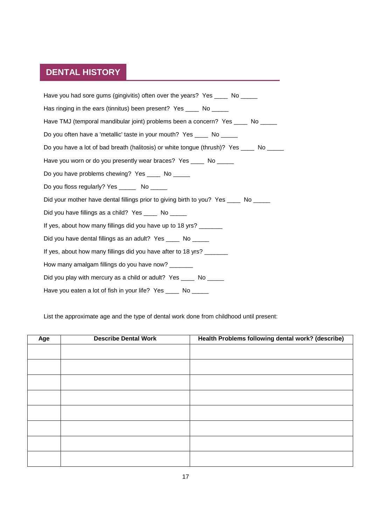#### **DENTAL HISTORY**

Have you had sore gums (gingivitis) often over the years? Yes \_\_\_\_ No \_\_\_\_\_ Has ringing in the ears (tinnitus) been present? Yes \_\_\_\_ No \_\_\_\_\_ Have TMJ (temporal mandibular joint) problems been a concern? Yes \_\_\_\_ No \_\_\_\_ Do you often have a 'metallic' taste in your mouth? Yes No Do you have a lot of bad breath (halitosis) or white tongue (thrush)? Yes No Have you worn or do you presently wear braces? Yes \_\_\_\_ No \_\_\_\_\_ Do you have problems chewing? Yes \_\_\_\_ No \_\_\_\_\_ Do you floss regularly? Yes \_\_\_\_\_\_ No \_\_\_\_\_ Did your mother have dental fillings prior to giving birth to you? Yes \_\_\_\_ No \_\_\_\_\_ Did you have fillings as a child? Yes \_\_\_\_ No \_\_\_\_\_ If yes, about how many fillings did you have up to 18 yrs? \_\_\_\_\_\_ Did you have dental fillings as an adult? Yes \_\_\_\_\_ No \_\_\_\_ If yes, about how many fillings did you have after to 18 yrs? How many amalgam fillings do you have now? Did you play with mercury as a child or adult? Yes No Have you eaten a lot of fish in your life? Yes \_\_\_\_ No \_\_\_\_\_

List the approximate age and the type of dental work done from childhood until present:

| Age | <b>Describe Dental Work</b> | Health Problems following dental work? (describe) |
|-----|-----------------------------|---------------------------------------------------|
|     |                             |                                                   |
|     |                             |                                                   |
|     |                             |                                                   |
|     |                             |                                                   |
|     |                             |                                                   |
|     |                             |                                                   |
|     |                             |                                                   |
|     |                             |                                                   |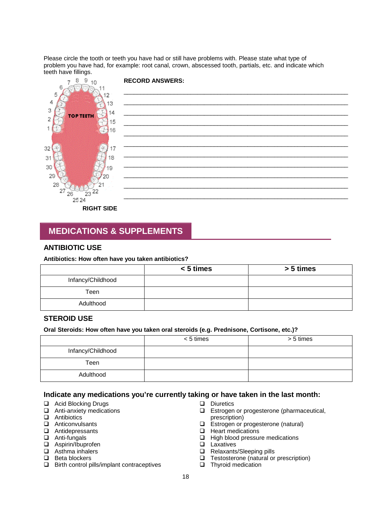Please circle the tooth or teeth you have had or still have problems with. Please state what type of problem you have had, for example: root canal, crown, abscessed tooth, partials, etc. and indicate which teeth have fillings.



### **MEDICATIONS & SUPPLEMENTS**

#### **ANTIBIOTIC USE**

#### **Antibiotics: How often have you taken antibiotics?**

|                   | $< 5$ times | > 5 times |
|-------------------|-------------|-----------|
| Infancy/Childhood |             |           |
| Teen              |             |           |
| Adulthood         |             |           |

#### **STEROID USE**

#### **Oral Steroids: How often have you taken oral steroids (e.g. Prednisone, Cortisone, etc.)?**

|                   | $< 5$ times | > 5 times |
|-------------------|-------------|-----------|
| Infancy/Childhood |             |           |
| Teen              |             |           |
| Adulthood         |             |           |

#### **Indicate any medications you're currently taking or have taken in the last month:**

- **□** Acid Blocking Drugs<br>□ Anti-anxiety medicat
- Anti-anxiety medications
- □ Antibiotics<br>□ Anticonvul
- Anticonvulsants
- Antidepressants
- Anti-fungals
- □ Aspirin/Ibuprofen
- □ Asthma inhalers
- $\Box$  Beta blockers
- $\Box$  Birth control pills/implant contraceptives
- Diuretics
- □ Estrogen or progesterone (pharmaceutical, prescription)
- $\Box$  Estrogen or progesterone (natural)
- $\Box$  Heart medications
- $\Box$  High blood pressure medications
- **Laxatives**
- Relaxants/Sleeping pills
- □ Testosterone (natural or prescription)
- **D** Thyroid medication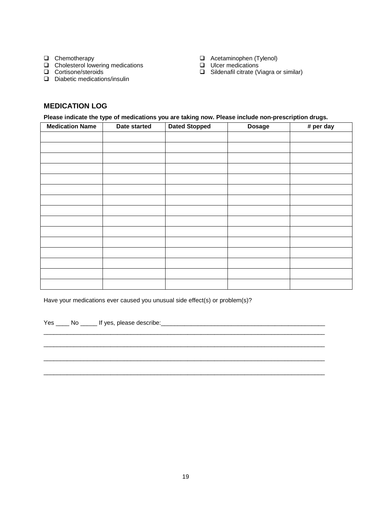- **Q** Chemotherapy
- $\Box$  Cholesterol lowering medications
- □ Cortisone/steroids
- D Diabetic medications/insulin
- Acetaminophen (Tylenol)
- **Ulcer medications**
- □ Sildenafil citrate (Viagra or similar)

#### **MEDICATION LOG**

**Please indicate the type of medications you are taking now. Please include non-prescription drugs.**

| <b>Medication Name</b> | Date started | <b>Dated Stopped</b> | <b>Dosage</b> | # per day |
|------------------------|--------------|----------------------|---------------|-----------|
|                        |              |                      |               |           |
|                        |              |                      |               |           |
|                        |              |                      |               |           |
|                        |              |                      |               |           |
|                        |              |                      |               |           |
|                        |              |                      |               |           |
|                        |              |                      |               |           |
|                        |              |                      |               |           |
|                        |              |                      |               |           |
|                        |              |                      |               |           |
|                        |              |                      |               |           |
|                        |              |                      |               |           |
|                        |              |                      |               |           |
|                        |              |                      |               |           |
|                        |              |                      |               |           |

Have your medications ever caused you unusual side effect(s) or problem(s)?

Yes \_\_\_\_ No \_\_\_\_\_ If yes, please describe:\_\_\_\_\_\_\_\_\_\_\_\_\_\_\_\_\_\_\_\_\_\_\_\_\_\_\_\_\_\_\_\_\_\_\_\_\_\_\_\_\_\_\_\_\_\_\_\_\_

 $\_$  , and the set of the set of the set of the set of the set of the set of the set of the set of the set of the set of the set of the set of the set of the set of the set of the set of the set of the set of the set of th \_\_\_\_\_\_\_\_\_\_\_\_\_\_\_\_\_\_\_\_\_\_\_\_\_\_\_\_\_\_\_\_\_\_\_\_\_\_\_\_\_\_\_\_\_\_\_\_\_\_\_\_\_\_\_\_\_\_\_\_\_\_\_\_\_\_\_\_\_\_\_\_\_\_\_\_\_\_\_\_\_\_\_\_

\_\_\_\_\_\_\_\_\_\_\_\_\_\_\_\_\_\_\_\_\_\_\_\_\_\_\_\_\_\_\_\_\_\_\_\_\_\_\_\_\_\_\_\_\_\_\_\_\_\_\_\_\_\_\_\_\_\_\_\_\_\_\_\_\_\_\_\_\_\_\_\_\_\_\_\_\_\_\_\_\_\_\_\_

\_\_\_\_\_\_\_\_\_\_\_\_\_\_\_\_\_\_\_\_\_\_\_\_\_\_\_\_\_\_\_\_\_\_\_\_\_\_\_\_\_\_\_\_\_\_\_\_\_\_\_\_\_\_\_\_\_\_\_\_\_\_\_\_\_\_\_\_\_\_\_\_\_\_\_\_\_\_\_\_\_\_\_\_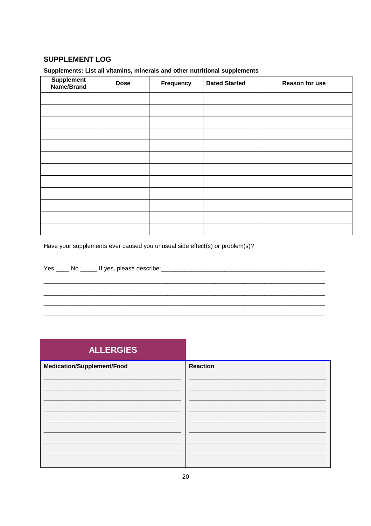#### **SUPPLEMENT LOG**

#### Supplements: List all vitamins, minerals and other nutritional supplements

| Supplement<br>Name/Brand | <b>Dose</b> | Frequency | <b>Dated Started</b> | Reason for use |
|--------------------------|-------------|-----------|----------------------|----------------|
|                          |             |           |                      |                |
|                          |             |           |                      |                |
|                          |             |           |                      |                |
|                          |             |           |                      |                |
|                          |             |           |                      |                |
|                          |             |           |                      |                |
|                          |             |           |                      |                |
|                          |             |           |                      |                |
|                          |             |           |                      |                |
|                          |             |           |                      |                |
|                          |             |           |                      |                |
|                          |             |           |                      |                |

Have your supplements ever caused you unusual side effect(s) or problem(s)?

# ALLERGIES

| Medication/Supplement/Food | <b>Reaction</b> |
|----------------------------|-----------------|
|                            |                 |
|                            |                 |
|                            |                 |
|                            |                 |
|                            |                 |
|                            |                 |
|                            |                 |
|                            |                 |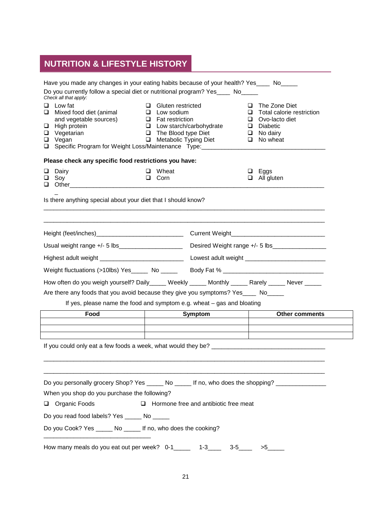# **NUTRITION & LIFESTYLE HISTORY**

|                                                                                            | Have you made any changes in your eating habits because of your health? Yes _____ No                     |                                |                                                                   |                                              |        |                                            |  |
|--------------------------------------------------------------------------------------------|----------------------------------------------------------------------------------------------------------|--------------------------------|-------------------------------------------------------------------|----------------------------------------------|--------|--------------------------------------------|--|
|                                                                                            | Do you currently follow a special diet or nutritional program? Yes ____ No_____<br>Check all that apply: |                                |                                                                   |                                              |        |                                            |  |
| $\Box$ Low fat<br>$\Box$ Gluten restricted<br>Mixed food diet (animal<br>$\Box$ Low sodium |                                                                                                          |                                |                                                                   |                                              | □<br>u | The Zone Diet<br>Total calorie restriction |  |
|                                                                                            | and vegetable sources)                                                                                   | $\Box$ Fat restriction         |                                                                   |                                              |        | Ovo-lacto diet                             |  |
|                                                                                            | $\Box$ High protein<br>$\Box$ Vegetarian                                                                 |                                | $\Box$ Low starch/carbohydrate<br>□<br>$\Box$ The Blood type Diet |                                              |        | Diabetic<br>$\Box$ No dairy                |  |
|                                                                                            | $\Box$ Vegan                                                                                             | <b>Q</b> Metabolic Typing Diet |                                                                   |                                              |        | $\Box$ No wheat                            |  |
| □ Specific Program for Weight Loss/Maintenance Type: __________________________            |                                                                                                          |                                |                                                                   |                                              |        |                                            |  |
|                                                                                            | Please check any specific food restrictions you have:                                                    |                                |                                                                   |                                              |        |                                            |  |
|                                                                                            | Dairy                                                                                                    |                                | $\Box$ Wheat<br>$\Box$ Corn                                       |                                              |        | Eggs                                       |  |
|                                                                                            | $\Box$ Soy<br>$\Box$ Other $\Box$                                                                        |                                |                                                                   |                                              |        | $\Box$ All gluten                          |  |
|                                                                                            | Is there anything special about your diet that I should know?                                            |                                |                                                                   |                                              |        |                                            |  |
|                                                                                            |                                                                                                          |                                |                                                                   |                                              |        |                                            |  |
|                                                                                            |                                                                                                          |                                |                                                                   |                                              |        |                                            |  |
|                                                                                            |                                                                                                          |                                |                                                                   |                                              |        |                                            |  |
|                                                                                            | Usual weight range +/- 5 lbs______________________                                                       |                                |                                                                   |                                              |        |                                            |  |
|                                                                                            |                                                                                                          |                                |                                                                   |                                              |        |                                            |  |
|                                                                                            | Weight fluctuations (>10lbs) Yes_____ No _____ Body Fat % ______________________                         |                                |                                                                   |                                              |        |                                            |  |
|                                                                                            | How often do you weigh yourself? Daily_____ Weekly _____ Monthly _____ Rarely _____ Never _____          |                                |                                                                   |                                              |        |                                            |  |
|                                                                                            | Are there any foods that you avoid because they give you symptoms? Yes____ No_____                       |                                |                                                                   |                                              |        |                                            |  |
|                                                                                            | If yes, please name the food and symptom e.g. wheat – gas and bloating                                   |                                |                                                                   |                                              |        |                                            |  |
|                                                                                            | Food                                                                                                     |                                |                                                                   | Symptom                                      |        | <b>Other comments</b>                      |  |
|                                                                                            |                                                                                                          |                                |                                                                   |                                              |        |                                            |  |
|                                                                                            |                                                                                                          |                                |                                                                   |                                              |        |                                            |  |
|                                                                                            |                                                                                                          |                                |                                                                   |                                              |        |                                            |  |
|                                                                                            |                                                                                                          |                                |                                                                   |                                              |        |                                            |  |
|                                                                                            |                                                                                                          |                                |                                                                   |                                              |        |                                            |  |
|                                                                                            | Do you personally grocery Shop? Yes ______ No ______ If no, who does the shopping? ________________      |                                |                                                                   |                                              |        |                                            |  |
|                                                                                            | When you shop do you purchase the following?                                                             |                                |                                                                   |                                              |        |                                            |  |
|                                                                                            | Organic Foods                                                                                            |                                |                                                                   | $\Box$ Hormone free and antibiotic free meat |        |                                            |  |
|                                                                                            | Do you read food labels? Yes _____ No _____                                                              |                                |                                                                   |                                              |        |                                            |  |
|                                                                                            | Do you Cook? Yes _____ No _____ If no, who does the cooking?                                             |                                |                                                                   |                                              |        |                                            |  |
|                                                                                            | How many meals do you eat out per week? 0-1_______ 1-3_                                                  |                                |                                                                   | $3-5$ <sub>____</sub>                        |        | >5                                         |  |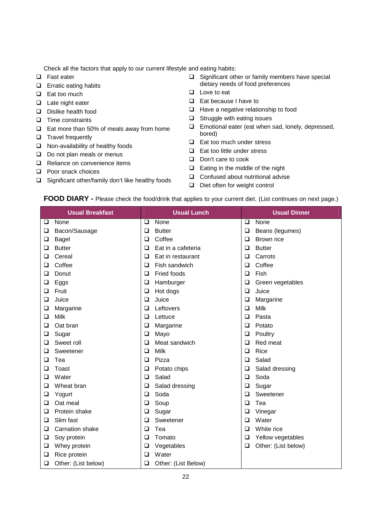Check all the factors that apply to our current lifestyle and eating habits:

- □ Fast eater
- $\Box$  Erratic eating habits
- $\Box$  Eat too much
- $\Box$  Late night eater
- Dislike health food
- $\Box$  Time constraints
- $\Box$  Eat more than 50% of meals away from home
- $\Box$  Travel frequently
- $\Box$  Non-availability of healthy foods
- $\Box$  Do not plan meals or menus
- Reliance on convenience items
- **D** Poor snack choices
- $\Box$  Significant other/family don't like healthy foods
- $\Box$  Significant other or family members have special dietary needs of food preferences
- $\Box$  Love to eat
- □ Eat because I have to
- $\Box$  Have a negative relationship to food
- $\Box$  Struggle with eating issues
- $\Box$  Emotional eater (eat when sad, lonely, depressed, bored)
- $\Box$  Eat too much under stress
- $\Box$  Eat too little under stress
- Don't care to cook
- $\Box$  Eating in the middle of the night
- □ Confused about nutritional advise
- $\Box$  Diet often for weight control

#### **FOOD DIARY -** Please check the food/drink that applies to your current diet. (List continues on next page.)

|   | <b>Usual Breakfast</b> |        | <b>Usual Lunch</b>  |                | <b>Usual Dinner</b> |  |
|---|------------------------|--------|---------------------|----------------|---------------------|--|
| ❏ | None                   | ❏      | None                | None<br>$\Box$ |                     |  |
| ❏ | Bacon/Sausage          | $\Box$ | <b>Butter</b>       | $\Box$         | Beans (legumes)     |  |
| ❏ | Bagel                  | $\Box$ | Coffee              | $\Box$         | Brown rice          |  |
| ❏ | <b>Butter</b>          | □      | Eat in a cafeteria  | $\Box$         | <b>Butter</b>       |  |
| ❏ | Cereal                 | $\Box$ | Eat in restaurant   | $\Box$         | Carrots             |  |
| ❏ | Coffee                 | □      | Fish sandwich       | $\Box$         | Coffee              |  |
| ❏ | Donut                  | $\Box$ | Fried foods         | $\Box$         | Fish                |  |
| ❏ | Eggs                   | □      | Hamburger           | $\Box$         | Green vegetables    |  |
| ❏ | Fruit                  | $\Box$ | Hot dogs            | $\Box$         | Juice               |  |
| □ | Juice                  | $\Box$ | Juice               | $\Box$         | Margarine           |  |
| ❏ | Margarine              | □      | Leftovers           | $\Box$         | Milk                |  |
| ❏ | Milk                   | $\Box$ | Lettuce             | $\Box$         | Pasta               |  |
| ❏ | Oat bran               | ❏      | Margarine           | $\Box$         | Potato              |  |
| ❏ | Sugar                  | $\Box$ | Mayo                | $\Box$         | Poultry             |  |
| ❏ | Sweet roll             | □      | Meat sandwich       | $\Box$         | Red meat            |  |
| □ | Sweetener              | □      | Milk                | $\Box$         | Rice                |  |
| □ | Tea                    | $\Box$ | Pizza               | $\Box$         | Salad               |  |
| □ | Toast                  | ❏      | Potato chips        | $\Box$         | Salad dressing      |  |
| ❏ | Water                  | $\Box$ | Salad               | $\Box$         | Soda                |  |
| ❏ | Wheat bran             | ❏      | Salad dressing      | $\Box$         | Sugar               |  |
| ❏ | Yogurt                 | □      | Soda                | $\Box$         | Sweetener           |  |
| ❏ | Oat meal               | ❏      | Soup                | $\Box$         | Tea                 |  |
| ❏ | Protein shake          | $\Box$ | Sugar               | $\Box$         | Vinegar             |  |
| ❏ | Slim fast              | $\Box$ | Sweetener           | $\Box$         | Water               |  |
| ❏ | <b>Carnation shake</b> | $\Box$ | Tea                 | $\Box$         | White rice          |  |
| ❏ | Soy protein            | $\Box$ | Tomato              | $\Box$         | Yellow vegetables   |  |
| ❏ | Whey protein           | ❏      | Vegetables          | $\Box$         | Other: (List below) |  |
| ❏ | Rice protein           | □      | Water               |                |                     |  |
| ❏ | Other: (List below)    | ❏      | Other: (List Below) |                |                     |  |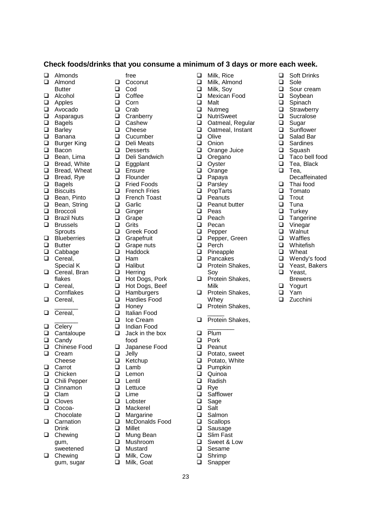#### **Check foods/drinks that you consume a minimum of 3 days or more each week.**

□ Milk, Rice<br>□ Milk, Almo Milk, Almond

□ Milk, Soy<br>□ Mexican F □ Mexican Food<br>□ Malt

 Oatmeal, Regular □ Oatmeal, Instant<br>□ Olive **Olive**  $\Box$  Onion<br> $\Box$  Orang Orange Juice Oregano<br>
Ovster **Oyster**  Orange Papaya □ Parsley<br>□ PopTart PopTarts  $\Box$  Peanuts<br> $\Box$  Peanut b  $\Box$  Peanut butter Peas  $\Box$  Peach<br> $\Box$  Pecan Pecan  $\Box$  Pepper<br> $\Box$  Pepper

**□** Soft Drinks<br>□ Sole □ Sole<br>□ Sour □ Sour cream<br>□ Sovbean Soybean **□** Spinach<br>□ Strawbe □ Strawberry<br>□ Sucralose □ Sucralose **Sugar** □ Sunflower<br>□ Salad Bar □ Salad Bar<br>□ Sardines  $\Box$  Sardines<br> $\Box$  Squash  $\Box$  Squash<br> $\Box$  Taco be  $\Box$  Taco bell food<br> $\Box$  Tea Black Tea, Black

 $\Box$  Tea,

□ Thai food □ Tomato  $\Box$  Trout **Q** Tuna  $\Box$  Turkey □ Tangerine<br>□ Vinegar Vinegar **Q** Walnut □ Waffles **Q** Whitefish **D** Wheat Wendy's food □ Yeast, Bakers □ Yeast. **Brewers** □ Yogurt □ Yam **Q** Zucchini

Decaffeinated

Pepper, Green

Protein Shakes,

 $\Box$  Perch Pineapple □ Pancakes<br>□ Protein Sh

Soy **D** Protein Shakes,

Milk **Q** Protein Shakes, **Whey Q** Protein Shakes,  $\overline{\phantom{a}}$ **D** Protein Shakes,  $\overline{\phantom{a}}$ 

 $\Box$  Plum  $\Box$  Pork<br> $\Box$  Pean Peanut  $\Box$  Potato, sweet  $\Box$  Potato, White  $\Box$  Pumpkin Quinoa  $\Box$  Radish<br> $\Box$  Rve Rye □ Safflower Sage □ Salt<br>□ Saln  $\square$  Salmon<br> $\square$  Scallops  $\Box$  Scallops<br> $\Box$  Sausage Sausage □ Slim Fast<br>□ Sweet & L Sweet & Low

□ Sesame  $\square$  Shrimp<br> $\square$  Snappe Snapper

 $\Box$  Malt<br> $\Box$  Nutn Nutmeg □ NutriSweet<br>□ Oatmeal R

- □ Almonds
- **Q** Almond
- **Butter**
- Alcohol
- **Q** Apples
- Avocado
- $\Box$  Asparagus<br> $\Box$  Bagels
- Bagels
- □ Barley<br>□ Banan
- Banana
- □ Burger King<br>□ Bacon
- $\Box$  Bacon<br> $\Box$  Bean.
- 
- $\Box$  Bean, Lima<br> $\Box$  Bread White Bread, White
- □ Bread, Wheat
- □ Bread, Rye
- **Q** Bagels
- **D** Biscuits
- 
- □ Bean, Pinto<br>□ Bean, String Bean, String
- 
- **D** Broccoli
- **D** Brazil Nuts
- □ Brussels
- **Sprouts**
- D Blueberries
- **D** Butter
- □ Cabbage
- □ Cereal,
- Special K
- Cereal, Bran flakes
- D Cereal. Cornflakes
- □ Cereal,  $\overline{\phantom{a}}$
- □ Cereal,
- $\overline{\phantom{a}}$  $\Box$  Celery
- $\Box$  Cantaloupe
- □ Candv
- □ Chinese Food
- □ Cream
- Cheese
- **Q** Carrot
- □ Chicken
- Chili Pepper
- $\Box$  Cinnamon
- **Q** Clam
- **D** Cloves
- Cocoa-
- **Chocolate Q** Carnation
- Drink
- **Q** Chewing gum,
- sweetened □ Chewing gum, sugar
- free **Q** Coconut
- □ Cod
- □ Coffee
- □ Corn
- □ Crab
- 
- □ Cranberry<br>□ Cashew Cashew
- 
- □ Cheese<br>□ Cucumb
- Cucumber
- Deli Meats
- Desserts
- Deli Sandwich
- **Eggplant**
- **D** Ensure
- **D** Flounder
- □ Fried Foods
- **D** French Fries
- **D** French Toast
- **Q** Garlic
- □ Ginger<br>□ Grape
- □ Grape<br>□ Grits
- Grits
- □ Greek Food<br>□ Grapefruit
- **Grapefruit**
- $\Box$  Grape nuts<br> $\Box$  Haddock
- $\Box$  Haddock<br> $\Box$  Ham
- $\Box$  Ham<br> $\Box$  Halib
- Halibut
- $\Box$  Herring<br> $\Box$  Hot Doc
- Hot Dogs, Pork
- **Hot Dogs, Beef**
- **Hamburgers**
- □ Hardies Food
- $\Box$  Honey<br> $\Box$  Italian
- □ Italian Food<br>□ Ice Cream
- Ice Cream
- $\Box$  Indian Food
- Jack in the box food
- □ Japanese Food

23

- $\Box$  Jelly<br> $\Box$  Ketcl
- $\Box$  Ketchup
- Lamb
- $\Box$  Lemon
- □ Lentil
- **Lettuce Lime**
- **Lobster**
- Mackerel

□ Margarine<br>□ McDonalds □ McDonalds Food Millet □ Mung Bean<br>□ Mushroom Mushroom **D** Mustard  $\Box$  Milk, Cow<br> $\Box$  Milk, Goat Milk, Goat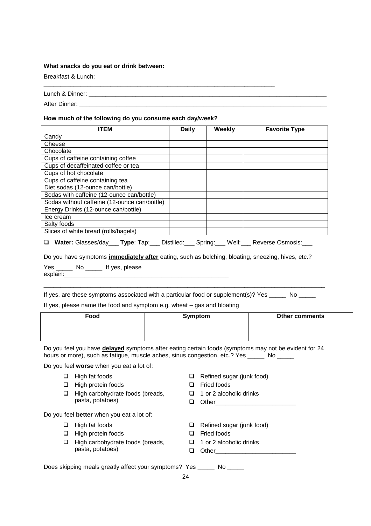#### **What snacks do you eat or drink between:**

Breakfast & Lunch:

| Lunch<br>~ |
|------------|
|------------|

\_\_\_\_\_\_\_\_\_\_\_\_\_\_\_\_\_\_\_\_\_\_\_\_\_\_\_\_\_\_\_\_\_\_\_\_\_\_\_\_\_\_\_\_\_\_\_\_\_\_\_\_\_\_\_\_\_\_\_\_\_\_\_\_\_\_\_\_\_

After Dinner: \_\_\_\_\_\_\_\_\_\_\_\_\_\_\_\_\_\_\_\_\_\_\_\_\_\_\_\_\_\_\_\_\_\_\_\_\_\_\_\_\_\_\_\_\_\_\_\_\_\_\_\_\_\_\_\_\_\_\_\_\_\_\_\_\_\_\_\_\_\_\_\_\_\_

#### **How much of the following do you consume each day/week?**

| <b>ITEM</b>                                  | <b>Daily</b> | Weekly | <b>Favorite Type</b> |
|----------------------------------------------|--------------|--------|----------------------|
| Candy                                        |              |        |                      |
| Cheese                                       |              |        |                      |
| Chocolate                                    |              |        |                      |
| Cups of caffeine containing coffee           |              |        |                      |
| Cups of decaffeinated coffee or tea          |              |        |                      |
| Cups of hot chocolate                        |              |        |                      |
| Cups of caffeine containing tea              |              |        |                      |
| Diet sodas (12-ounce can/bottle)             |              |        |                      |
| Sodas with caffeine (12-ounce can/bottle)    |              |        |                      |
| Sodas without caffeine (12-ounce can/bottle) |              |        |                      |
| Energy Drinks (12-ounce can/bottle)          |              |        |                      |
| Ice cream                                    |              |        |                      |
| Salty foods                                  |              |        |                      |
| Slices of white bread (rolls/bagels)         |              |        |                      |

**Water:** Glasses/day\_\_\_ **Type**: Tap:\_\_\_ Distilled:\_\_\_ Spring:\_\_\_ Well:\_\_\_ Reverse Osmosis:\_\_\_

Do you have symptoms **immediately after** eating, such as belching, bloating, sneezing, hives, etc.?

Yes \_\_\_\_\_\_ No \_\_\_\_\_ If yes, please explain:

If yes, are these symptoms associated with a particular food or supplement(s)? Yes \_\_\_\_\_ No \_\_\_\_\_

 $\_$  , and the set of the set of the set of the set of the set of the set of the set of the set of the set of the set of the set of the set of the set of the set of the set of the set of the set of the set of the set of th

If yes, please name the food and symptom e.g. wheat – gas and bloating

| Food | Symptom | <b>Other comments</b> |  |  |  |
|------|---------|-----------------------|--|--|--|
|      |         |                       |  |  |  |
|      |         |                       |  |  |  |
|      |         |                       |  |  |  |

Do you feel you have **delayed** symptoms after eating certain foods (symptoms may not be evident for 24 hours or more), such as fatigue, muscle aches, sinus congestion, etc.? Yes \_\_\_\_\_ No \_\_\_\_\_

Do you feel **worse** when you eat a lot of:

- $\Box$  High fat foods
- $\Box$  High protein foods
- $\Box$  High carbohydrate foods (breads, pasta, potatoes)

Do you feel **better** when you eat a lot of:

- $\Box$  High fat foods
- $\Box$  High protein foods
- $\Box$  High carbohydrate foods (breads, pasta, potatoes)
- $\Box$  Refined sugar (junk food)
- □ Fried foods
- $\Box$  1 or 2 alcoholic drinks
- $\Box$  Other
- Refined sugar (junk food)
- □ Fried foods
- $\Box$  1 or 2 alcoholic drinks
- Other\_\_\_\_\_\_\_\_\_\_\_\_\_\_\_\_\_\_\_\_\_\_\_\_

Does skipping meals greatly affect your symptoms? Yes \_\_\_\_\_ No \_\_\_\_\_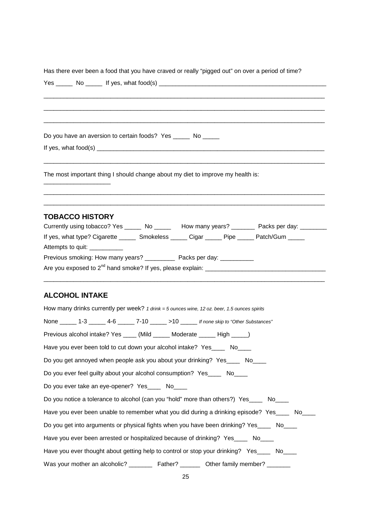| Has there ever been a food that you have craved or really "pigged out" on over a period of time?                                                                                               |
|------------------------------------------------------------------------------------------------------------------------------------------------------------------------------------------------|
|                                                                                                                                                                                                |
|                                                                                                                                                                                                |
|                                                                                                                                                                                                |
|                                                                                                                                                                                                |
| Do you have an aversion to certain foods? Yes ______ No _____                                                                                                                                  |
|                                                                                                                                                                                                |
|                                                                                                                                                                                                |
| The most important thing I should change about my diet to improve my health is:                                                                                                                |
| <b>TOBACCO HISTORY</b>                                                                                                                                                                         |
| Currently using tobacco? Yes ______ No ______ How many years? _______ Packs per day: _______<br>If yes, what type? Cigarette _______ Smokeless ______ Cigar ______ Pipe ______ Patch/Gum _____ |
| Attempts to quit: ___________                                                                                                                                                                  |
| Previous smoking: How many years? _____________ Packs per day: ____________                                                                                                                    |
|                                                                                                                                                                                                |
|                                                                                                                                                                                                |
| <b>ALCOHOL INTAKE</b>                                                                                                                                                                          |
| How many drinks currently per week? 1 drink = 5 ounces wine, 12 oz. beer, 1.5 ounces spirits                                                                                                   |
| None ______ 1-3 ______ 4-6 ______ 7-10 ______ >10 ______ If none skip to "Other Substances"                                                                                                    |
| Previous alcohol intake? Yes _____ (Mild ______ Moderate ______ High _____)                                                                                                                    |
| Have you ever been told to cut down your alcohol intake? Yes_____ No____                                                                                                                       |
| Do you get annoyed when people ask you about your drinking? Yes____ No____                                                                                                                     |
| Do you ever feel guilty about your alcohol consumption? Yes_____ No____                                                                                                                        |
| Do you ever take an eye-opener? Yes_____ No____                                                                                                                                                |
| Do you notice a tolerance to alcohol (can you "hold" more than others?) Yes_____ No____                                                                                                        |
| Have you ever been unable to remember what you did during a drinking episode? Yes____ No____                                                                                                   |
| Do you get into arguments or physical fights when you have been drinking? Yes____ No____                                                                                                       |
| Have you ever been arrested or hospitalized because of drinking? Yes____ No____                                                                                                                |
| Have you ever thought about getting help to control or stop your drinking? Yes____ No____                                                                                                      |
|                                                                                                                                                                                                |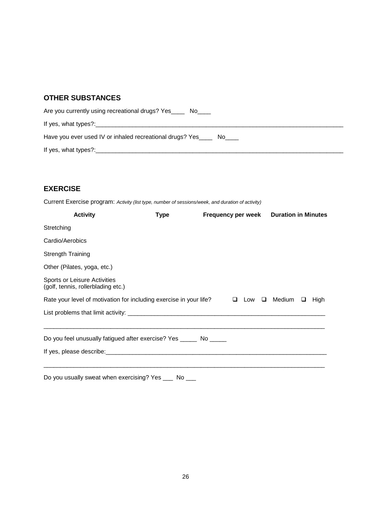#### **OTHER SUBSTANCES**

| Are you currently using recreational drugs? Yes<br>No l            |
|--------------------------------------------------------------------|
| If yes, what types?:                                               |
| Have you ever used IV or inhaled recreational drugs? Yes____<br>No |
| If yes, what types?:                                               |

#### **EXERCISE**

Current Exercise program: *Activity (list type, number of sessions/week, and duration of activity)*

| <b>Activity</b>                                                                  | Type | <b>Frequency per week</b> |  | <b>Duration in Minutes</b>      |      |
|----------------------------------------------------------------------------------|------|---------------------------|--|---------------------------------|------|
| Stretching                                                                       |      |                           |  |                                 |      |
| Cardio/Aerobics                                                                  |      |                           |  |                                 |      |
| <b>Strength Training</b>                                                         |      |                           |  |                                 |      |
| Other (Pilates, yoga, etc.)                                                      |      |                           |  |                                 |      |
| Sports or Leisure Activities<br>(golf, tennis, rollerblading etc.)               |      |                           |  |                                 |      |
| Rate your level of motivation for including exercise in your life?               |      |                           |  | $\Box$ Low $\Box$ Medium $\Box$ | High |
|                                                                                  |      |                           |  |                                 |      |
| ,我们也不会有什么?""我们的人,我们也不会有什么?""我们的人,我们也不会有什么?""我们的人,我们也不会有什么?""我们的人,我们也不会有什么?""我们的人 |      |                           |  |                                 |      |
| Do you feel unusually fatigued after exercise? Yes _______ No ______             |      |                           |  |                                 |      |
|                                                                                  |      |                           |  |                                 |      |
|                                                                                  |      |                           |  |                                 |      |
| Do you usually sweat when exercising? Yes ____ No ___                            |      |                           |  |                                 |      |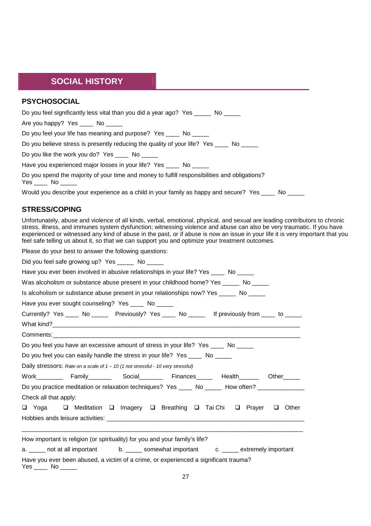#### **SOCIAL HISTORY**

| <b>PSYCHOSOCIAL</b>                                                                                                  |
|----------------------------------------------------------------------------------------------------------------------|
| Do you feel significantly less vital than you did a year ago? Yes _____ No _____                                     |
| Are you happy? Yes _____ No _____                                                                                    |
| Do you feel your life has meaning and purpose? Yes ____ No _____                                                     |
| Do you believe stress is presently reducing the quality of your life? Yes _____ No _____                             |
| Do you like the work you do? Yes _____ No _____                                                                      |
| Have you experienced major losses in your life? Yes ____ No _____                                                    |
| Do you spend the majority of your time and money to fulfill responsibilities and obligations?<br>Yes _____ No ______ |
| Would you describe your experience as a child in your family as happy and secure? Yes ____ No ____                   |

#### **STRESS/COPING**

Unfortunately, abuse and violence of all kinds, verbal, emotional, physical, and sexual are leading contributors to chronic stress, illness, and immunes system dysfunction; witnessing violence and abuse can also be very traumatic. If you have experienced or witnessed any kind of abuse in the past, or if abuse is now an issue in your life it is very important that you feel safe telling us about it, so that we can support you and optimize your treatment outcomes.

Please do your best to answer the following questions:

Did you feel safe growing up? Yes \_\_\_\_\_ No \_\_\_\_\_

| Have you ever been involved in abusive relationships in your life? Yes _____ No _____                                                                                                                                          |  |  |  |  |       |  |  |  |
|--------------------------------------------------------------------------------------------------------------------------------------------------------------------------------------------------------------------------------|--|--|--|--|-------|--|--|--|
| Was alcoholism or substance abuse present in your childhood home? Yes ______ No _____                                                                                                                                          |  |  |  |  |       |  |  |  |
| Is alcoholism or substance abuse present in your relationships now? Yes ______ No _____                                                                                                                                        |  |  |  |  |       |  |  |  |
| Have you ever sought counseling? Yes ____ No _____                                                                                                                                                                             |  |  |  |  |       |  |  |  |
| Currently? Yes _____ No ________ Previously? Yes _____ No _______ If previously from _____ to _____                                                                                                                            |  |  |  |  |       |  |  |  |
|                                                                                                                                                                                                                                |  |  |  |  |       |  |  |  |
| Comments: the comments of the control of the control of the control of the control of the control of the control of the control of the control of the control of the control of the control of the control of the control of t |  |  |  |  |       |  |  |  |
| Do you feel you have an excessive amount of stress in your life? Yes _____ No _____                                                                                                                                            |  |  |  |  |       |  |  |  |
| Do you feel you can easily handle the stress in your life? Yes _____ No _____                                                                                                                                                  |  |  |  |  |       |  |  |  |
| Daily stressors: Rate on a scale of $1 - 10$ (1 not stressful - 10 very stressful)                                                                                                                                             |  |  |  |  |       |  |  |  |
| Work__________ Family_________ Social________ Finances______ Health_______ Other______                                                                                                                                         |  |  |  |  |       |  |  |  |
| Do you practice meditation or relaxation techniques? Yes _____ No ______ How often? ______________                                                                                                                             |  |  |  |  |       |  |  |  |
| Check all that apply:                                                                                                                                                                                                          |  |  |  |  |       |  |  |  |
| □ Yoga □ Meditation □ Imagery □ Breathing □ Tai Chi □ Prayer □                                                                                                                                                                 |  |  |  |  | Other |  |  |  |
|                                                                                                                                                                                                                                |  |  |  |  |       |  |  |  |
|                                                                                                                                                                                                                                |  |  |  |  |       |  |  |  |
| How important is religion (or spirituality) for you and your family's life?                                                                                                                                                    |  |  |  |  |       |  |  |  |
| a. _____ not at all important b. _____ somewhat important c. ____ extremely important                                                                                                                                          |  |  |  |  |       |  |  |  |
| Have you ever been abused, a victim of a crime, or experienced a significant trauma?<br>$Yes$ No $\_\_\_\_\$                                                                                                                   |  |  |  |  |       |  |  |  |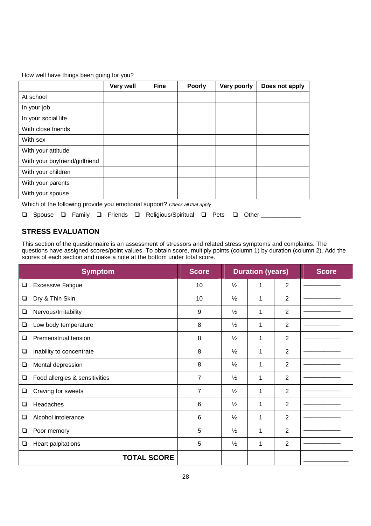How well have things been going for you?

|                                                                            | <b>Very well</b> | <b>Fine</b> | <b>Poorly</b> | Very poorly | Does not apply |
|----------------------------------------------------------------------------|------------------|-------------|---------------|-------------|----------------|
| At school                                                                  |                  |             |               |             |                |
| In your job                                                                |                  |             |               |             |                |
| In your social life                                                        |                  |             |               |             |                |
| With close friends                                                         |                  |             |               |             |                |
| With sex                                                                   |                  |             |               |             |                |
| With your attitude                                                         |                  |             |               |             |                |
| With your boyfriend/girlfriend                                             |                  |             |               |             |                |
| With your children                                                         |                  |             |               |             |                |
| With your parents                                                          |                  |             |               |             |                |
| With your spouse                                                           |                  |             |               |             |                |
| Which of the following provide you emotional quapart? Object all that such |                  |             |               |             |                |

Which of the following provide you emotional support? *Check all that apply*

|  |  |  |  |  |  |  | □ Spouse □ Family □ Friends □ Religious/Spiritual □ Pets □ Other |  |  |  |  |
|--|--|--|--|--|--|--|------------------------------------------------------------------|--|--|--|--|
|--|--|--|--|--|--|--|------------------------------------------------------------------|--|--|--|--|

#### **STRESS EVALUATION**

This section of the questionnaire is an assessment of stressors and related stress symptoms and complaints. The questions have assigned scores/point values. To obtain score, multiply points (column 1) by duration (column 2). Add the scores of each section and make a note at the bottom under total score.

|        | <b>Symptom</b>                 | <b>Score</b>   |               | <b>Duration (years)</b> |                | <b>Score</b> |
|--------|--------------------------------|----------------|---------------|-------------------------|----------------|--------------|
| ❏      | <b>Excessive Fatigue</b>       | 10             | $\frac{1}{2}$ | 1                       | $\overline{2}$ |              |
| $\Box$ | Dry & Thin Skin                | 10             | $\frac{1}{2}$ | 1                       | 2              |              |
| ❏      | Nervous/Irritability           | 9              | $\frac{1}{2}$ | 1                       | $\overline{2}$ |              |
| □      | Low body temperature           | 8              | $\frac{1}{2}$ | 1                       | $\overline{2}$ |              |
| ❏      | Premenstrual tension           | 8              | $\frac{1}{2}$ | 1                       | $\overline{2}$ |              |
| ❏      | Inability to concentrate       | 8              | $\frac{1}{2}$ | 1                       | $\overline{2}$ |              |
| ❏      | Mental depression              | 8              | $\frac{1}{2}$ | 1                       | $\overline{2}$ |              |
| ❏      | Food allergies & sensitivities | $\overline{7}$ | $\frac{1}{2}$ | 1                       | $\overline{2}$ |              |
| ❏      | Craving for sweets             | 7              | $\frac{1}{2}$ | 1                       | $\overline{2}$ |              |
| ❏      | Headaches                      | 6              | $\frac{1}{2}$ | 1                       | $\overline{2}$ |              |
| □      | Alcohol intolerance            | 6              | $\frac{1}{2}$ | 1                       | 2              |              |
| ❏      | Poor memory                    | 5              | $\frac{1}{2}$ | 1                       | $\overline{2}$ |              |
| ❏      | Heart palpitations             | 5              | $\frac{1}{2}$ | 1                       | $\overline{2}$ |              |
|        | <b>TOTAL SCORE</b>             |                |               |                         |                |              |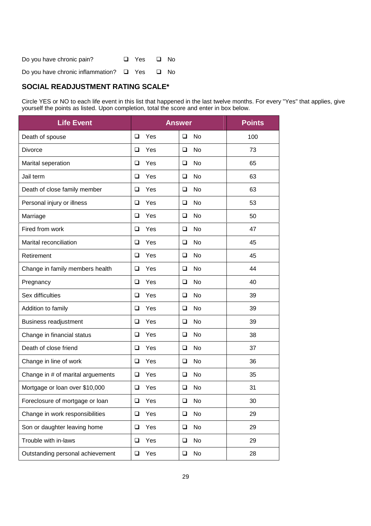| Do you have chronic pain?                              | □ Yes □ No |  |
|--------------------------------------------------------|------------|--|
| Do you have chronic inflammation? $\Box$ Yes $\Box$ No |            |  |

#### **SOCIAL READJUSTMENT RATING SCALE\***

Circle YES or NO to each life event in this list that happened in the last twelve months. For every "Yes" that applies, give yourself the points as listed. Upon completion, total the score and enter in box below.

| <b>Life Event</b>                 | <b>Answer</b> | <b>Points</b>       |     |
|-----------------------------------|---------------|---------------------|-----|
| Death of spouse                   | $\Box$<br>Yes | No<br>❏             | 100 |
| <b>Divorce</b>                    | ❏<br>Yes      | No<br>❏             | 73  |
| Marital seperation                | $\Box$<br>Yes | <b>No</b><br>❏      | 65  |
| Jail term                         | Yes<br>❏      | <b>No</b><br>❏      | 63  |
| Death of close family member      | Yes<br>□      | No<br>❏             | 63  |
| Personal injury or illness        | $\Box$<br>Yes | <b>No</b><br>□      | 53  |
| Marriage                          | $\Box$<br>Yes | □<br>No             | 50  |
| Fired from work                   | Yes<br>❏      | No<br>❏             | 47  |
| Marital reconciliation            | $\Box$<br>Yes | <b>No</b><br>$\Box$ | 45  |
| Retirement                        | Yes<br>❏      | No<br>❏             | 45  |
| Change in family members health   | ❏<br>Yes      | No<br>❏             | 44  |
| Pregnancy                         | Yes<br>❏      | No<br>❏             | 40  |
| Sex difficulties                  | $\Box$<br>Yes | <b>No</b><br>❏      | 39  |
| Addition to family                | Yes<br>❏      | No<br>❏             | 39  |
| <b>Business readjustment</b>      | Yes<br>◻      | No<br>◻             | 39  |
| Change in financial status        | □<br>Yes      | No<br>❏             | 38  |
| Death of close friend             | Yes<br>❏      | No<br>❏             | 37  |
| Change in line of work            | Yes<br>□      | No<br>❏             | 36  |
| Change in # of marital arguements | ❏<br>Yes      | No<br>❏             | 35  |
| Mortgage or loan over \$10,000    | ❏<br>Yes      | No<br>❏             | 31  |
| Foreclosure of mortgage or loan   | Yes<br>$\Box$ | No<br>❏             | 30  |
| Change in work responsibilities   | $\Box$<br>Yes | No<br>$\Box$        | 29  |
| Son or daughter leaving home      | Yes<br>□      | No<br>❏             | 29  |
| Trouble with in-laws              | Yes<br>$\Box$ | No<br>$\Box$        | 29  |
| Outstanding personal achievement  | Yes<br>$\Box$ | No<br>❏             | 28  |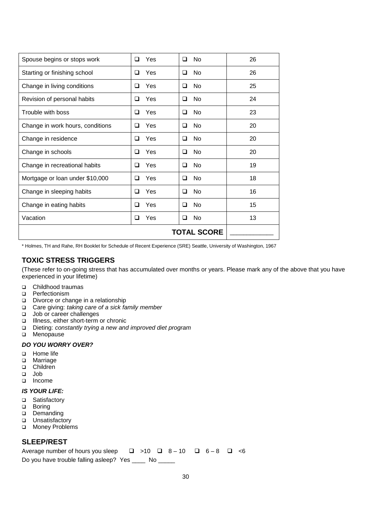| Spouse begins or stops work      | Yes<br>□        | No<br>◻        | 26 |
|----------------------------------|-----------------|----------------|----|
| Starting or finishing school     | Yes<br>□        | No<br>❏        | 26 |
| Change in living conditions      | Yes<br>□        | <b>No</b><br>◻ | 25 |
| Revision of personal habits      | Yes<br>◻        | No<br>◻        | 24 |
| Trouble with boss                | <b>Yes</b><br>□ | <b>No</b><br>◻ | 23 |
| Change in work hours, conditions | Yes<br>□        | No<br>◻        | 20 |
| Change in residence              | Yes<br><b>□</b> | No<br>❏        | 20 |
| Change in schools                | Yes<br>□        | No<br>◻        | 20 |
| Change in recreational habits    | Yes<br>□        | <b>No</b><br>◻ | 19 |
| Mortgage or loan under \$10,000  | Yes<br>□        | No<br>◻        | 18 |
| Change in sleeping habits        | <b>Yes</b><br>□ | <b>No</b><br>◻ | 16 |
| Change in eating habits          | <b>Yes</b><br>□ | No<br>◻        | 15 |
| Vacation                         | Yes<br>□        | No<br>❏        | 13 |
|                                  |                 |                |    |

\* Holmes, TH and Rahe, RH Booklet for Schedule of Recent Experience (SRE) Seattle, University of Washington, 1967

#### **TOXIC STRESS TRIGGERS**

(These refer to on-going stress that has accumulated over months or years. Please mark any of the above that you have experienced in your lifetime)

- □ Childhood traumas
- **D** Perfectionism
- Divorce or change in a relationship
- Care giving: *taking care of a sick family member*
- Job or career challenges
- Illness, either short-term or chronic
- Dieting: *constantly trying a new and improved diet program*
- **D** Menopause

#### *DO YOU WORRY OVER?*

- □ Home life
- **D** Marriage
- children
- Job
- Income

#### *IS YOUR LIFE:*

- □ Satisfactory
- **D** Boring
- Demanding
- **u** Unsatisfactory
- □ Money Problems

#### **SLEEP/REST**

Average number of hours you sleep  $\Box$  >10  $\Box$  8 – 10  $\Box$  6 – 8  $\Box$  <6 Do you have trouble falling asleep? Yes \_\_\_\_ No \_\_\_\_\_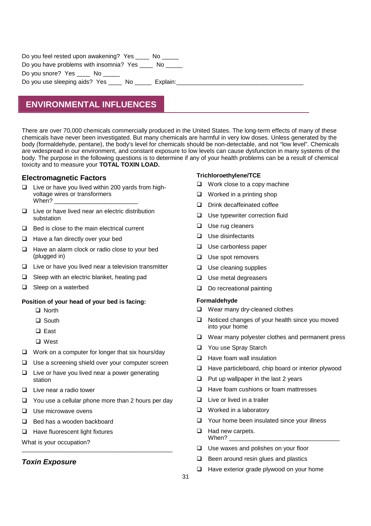| Do you feel rested upon awakening? Yes _____ No |
|-------------------------------------------------|
| Do you have problems with insomnia? Yes No      |
| Do you snore? Yes _____ No _____                |
| Do you use sleeping aids? Yes No<br>Explain:    |
|                                                 |

## **ENVIRONMENTAL INFLUENCES**

There are over 70,000 chemicals commercially produced in the United States. The long-term effects of many of these chemicals have never been investigated. But many chemicals are harmful in very low doses. Unless generated by the body (formaldehyde, pentane), the body's level for chemicals should be non-detectable, and not "low level". Chemicals are widespread in our environment, and constant exposure to low levels can cause dysfunction in many systems of the body. The purpose in the following questions is to determine if any of your health problems can be a result of chemical toxicity and to measure your **TOTAL TOXIN LOAD.**

#### **Electromagnetic Factors**

- $\Box$  Live or have you lived within 200 yards from highvoltage wires or transformers When?
- $\Box$  Live or have lived near an electric distribution substation
- $\Box$  Bed is close to the main electrical current
- $\Box$  Have a fan directly over your bed
- $\Box$  Have an alarm clock or radio close to your bed (plugged in)
- $\Box$  Live or have you lived near a television transmitter
- $\Box$  Sleep with an electric blanket, heating pad
- □ Sleep on a waterbed

#### **Position of your head of your bed is facing:**

- □ North
- □ South
- □ East
- □ West
- $\Box$  Work on a computer for longer that six hours/day
- $\Box$  Use a screening shield over your computer screen
- $\Box$  Live or have you lived near a power generating station
- $\Box$  Live near a radio tower
- $\Box$  You use a cellular phone more than 2 hours per day
- $\Box$  Use microwave ovens
- □ Bed has a wooden backboard
- □ Have fluorescent light fixtures

What is your occupation? \_\_\_\_\_\_\_\_\_\_\_\_\_\_\_\_\_\_\_\_\_\_\_\_\_\_\_\_\_\_\_\_\_\_\_\_\_\_\_\_\_\_\_\_\_

#### *Toxin Exposure*

#### **Trichloroethylene/TCE**

- $\Box$  Work close to a copy machine
- $\Box$  Worked in a printing shop
- D Drink decaffeinated coffee
- □ Use typewriter correction fluid
- $\Box$  Use rug cleaners
- $\Box$  Use disinfectants
- $\Box$  Use carbonless paper
- □ Use spot removers
- $\Box$  Use cleaning supplies
- $\Box$  Use metal degreasers
- Do recreational painting

#### **Formaldehyde**

- Wear many dry-cleaned clothes
- $\Box$  Noticed changes of your health since you moved into your home
- $\Box$  Wear many polyester clothes and permanent press
- □ You use Spray Starch
- $\Box$  Have foam wall insulation
- $\Box$  Have particleboard, chip board or interior plywood
- $\Box$  Put up wallpaper in the last 2 years
- $\Box$  Have foam cushions or foam mattresses
- $\Box$  Live or lived in a trailer
- □ Worked in a laboratory
- $\Box$  Your home been insulated since your illness
- $\Box$  Had new carpets. When?
- $\Box$  Use waxes and polishes on your floor
- $\Box$  Been around resin glues and plastics
- $\Box$  Have exterior grade plywood on your home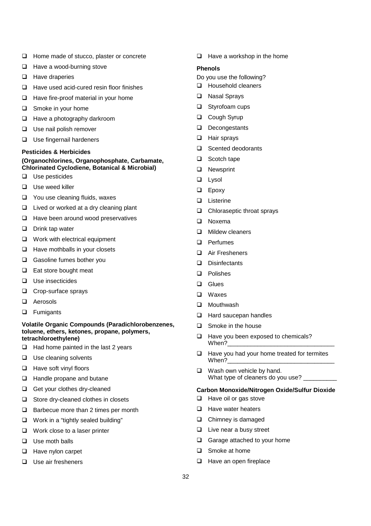- □ Home made of stucco, plaster or concrete
- $\Box$  Have a wood-burning stove
- $\Box$  Have draperies
- $\Box$  Have used acid-cured resin floor finishes
- $\Box$  Have fire-proof material in your home
- □ Smoke in your home
- □ Have a photography darkroom
- $\Box$  Use nail polish remover
- **Use fingernail hardeners**

#### **Pesticides & Herbicides**

#### **(Organochlorines, Organophosphate, Carbamate, Chlorinated Cyclodiene, Botanical & Microbial)**

- $\Box$  Use pesticides
- □ Use weed killer
- □ You use cleaning fluids, waxes
- $\Box$  Lived or worked at a dry cleaning plant
- $\Box$  Have been around wood preservatives
- $\Box$  Drink tap water
- **Q** Work with electrical equipment
- $\Box$  Have mothballs in your closets
- Gasoline fumes bother you
- □ Eat store bought meat
- $\Box$  Use insecticides
- □ Crop-surface sprays
- □ Aerosols
- **D** Fumigants

#### **Volatile Organic Compounds (Paradichlorobenzenes, toluene, ethers, ketones, propane, polymers, tetrachloroethylene)**

- $\Box$  Had home painted in the last 2 years
- $\Box$  Use cleaning solvents
- $\Box$  Have soft vinyl floors
- □ Handle propane and butane
- Get your clothes dry-cleaned
- $\Box$  Store dry-cleaned clothes in closets
- $\Box$  Barbecue more than 2 times per month
- □ Work in a "tightly sealed building"
- □ Work close to a laser printer
- $\Box$  Use moth balls
- $\Box$  Have nylon carpet
- $\Box$  Use air fresheners

 $\Box$  Have a workshop in the home

#### **Phenols**

- Do you use the following?
- **Household cleaners**
- □ Nasal Sprays
- □ Styrofoam cups
- □ Cough Syrup
- Decongestants
- □ Hair sprays
- □ Scented deodorants
- □ Scotch tape
- **Q** Newsprint
- **Lysol**
- **D** Epoxy
- □ Listerine
- □ Chloraseptic throat sprays
- D Noxema
- **D** Mildew cleaners
- □ Perfumes
- □ Air Fresheners
- Disinfectants
- D Polishes
- **Q** Glues
- Waxes
- □ Mouthwash
- □ Hard saucepan handles
- $\Box$  Smoke in the house
- $\Box$  Have you been exposed to chemicals? When?
- $\Box$  Have you had your home treated for termites When?
- Wash own vehicle by hand. What type of cleaners do you use?

#### **Carbon Monoxide/Nitrogen Oxide/Sulfur Dioxide**

- $\Box$  Have oil or gas stove
- $\Box$  Have water heaters
- **Q** Chimney is damaged
- $\Box$  Live near a busy street
- Garage attached to your home
- □ Smoke at home
- $\Box$  Have an open fireplace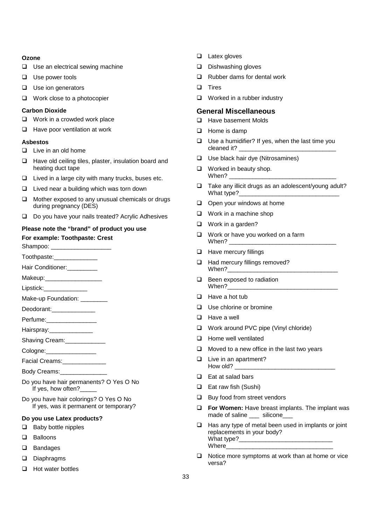#### **Ozone**

- $\Box$  Use an electrical sewing machine
- $\Box$  Use power tools
- $\Box$  Use ion generators
- □ Work close to a photocopier

#### **Carbon Dioxide**

- □ Work in a crowded work place
- $\Box$  Have poor ventilation at work

#### **Asbestos**

- $\Box$  Live in an old home
- $\Box$  Have old ceiling tiles, plaster, insulation board and heating duct tape
- $\Box$  Lived in a large city with many trucks, buses etc.
- $\Box$  Lived near a building which was torn down
- $\Box$  Mother exposed to any unusual chemicals or drugs during pregnancy (DES)
- □ Do you have your nails treated? Acrylic Adhesives

#### **Please note the "brand" of product you use For example: Toothpaste: Crest**

Shampoo: \_

Toothpaste:\_\_\_\_\_\_\_\_\_\_\_\_\_

- Hair Conditioner:\_\_\_\_\_\_\_\_\_
- Makeup:
- Lipstick:\_\_\_\_\_\_\_\_\_\_\_\_\_
- Make-up Foundation:
- Deodorant:
- Perfume:\_\_\_\_\_\_\_\_\_\_\_\_\_\_\_
- Hairspray:
- Shaving Cream: \_\_\_\_\_\_\_\_\_\_\_\_
- Cologne:
- Facial Creams:\_\_\_\_\_\_\_\_\_\_\_\_\_
- Body Creams:
- Do you have hair permanents? O Yes O No If yes, how often?
- Do you have hair colorings? O Yes O No If yes, was it permanent or temporary?

#### **Do you use Latex products?**

- $\Box$  Baby bottle nipples
- **Q** Balloons
- □ Bandages
- Diaphragms
- $\Box$  Hot water bottles
- □ Latex gloves
- $\square$  Dishwashing gloves
- $\Box$  Rubber dams for dental work
- $\square$  Tires
- $\Box$  Worked in a rubber industry

#### **General Miscellaneous**

- □ Have basement Molds
- $\Box$  Home is damp
- $\Box$  Use a humidifier? If yes, when the last time you cleaned it?
- $\Box$  Use black hair dye (Nitrosamines)
- $\Box$  Worked in beauty shop. When?
- $\Box$  Take any illicit drugs as an adolescent/young adult? What type?
- $\Box$  Open your windows at home
- $\Box$  Work in a machine shop
- □ Work in a garden?
- $\Box$  Work or have you worked on a farm When?
- $\Box$  Have mercury fillings
- □ Had mercury fillings removed? When?
- **Been exposed to radiation** When?
- $\Box$  Have a hot tub
- $\Box$  Use chlorine or bromine
- $\Box$  Have a well
- □ Work around PVC pipe (Vinyl chloride)
- $\Box$  Home well ventilated
- $\Box$  Moved to a new office in the last two years
- $\Box$  Live in an apartment? How old?
- $\Box$  Eat at salad bars
- $\Box$  Eat raw fish (Sushi)
- $\Box$  Buy food from street vendors
- **For Women:** Have breast implants. The implant was made of saline \_\_\_ silicone
- $\Box$  Has any type of metal been used in implants or joint replacements in your body? What type?\_\_\_\_\_ Where
- $\Box$  Notice more symptoms at work than at home or vice versa?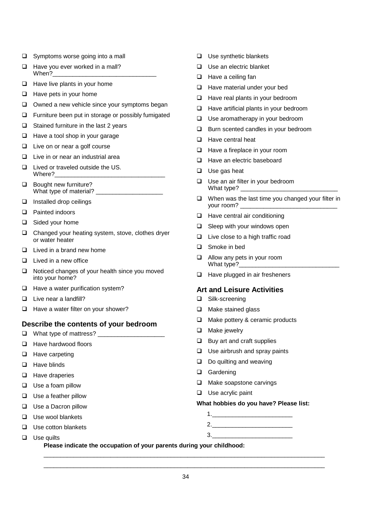- $\Box$  Symptoms worse going into a mall
- $\Box$  Have you ever worked in a mall? When?
- $\Box$  Have live plants in your home
- $\Box$  Have pets in your home
- $\Box$  Owned a new vehicle since your symptoms began
- $\Box$  Furniture been put in storage or possibly fumigated
- $\Box$  Stained furniture in the last 2 years
- $\Box$  Have a tool shop in your garage
- $\Box$  Live on or near a golf course
- $\Box$  Live in or near an industrial area
- □ Lived or traveled outside the US. Where?
- **Bought new furniture?** What type of material? \_\_\_
- $\Box$  Installed drop ceilings
- □ Painted indoors
- □ Sided your home
- $\Box$  Changed your heating system, stove, clothes dryer or water heater
- $\Box$  Lived in a brand new home
- $\Box$  Lived in a new office
- $\Box$  Noticed changes of your health since you moved into your home?
- $\Box$  Have a water purification system?
- □ Live near a landfill?
- $\Box$  Have a water filter on your shower?

#### **Describe the contents of your bedroom**

- $\Box$  What type of mattress?
- $\Box$  Have hardwood floors
- $\Box$  Have carpeting
- $\Box$  Have blinds
- $\Box$  Have draperies
- Use a foam pillow
- $\Box$  Use a feather pillow
- □ Use a Dacron pillow
- $\Box$  Use wool blankets

 $\Box$  Use quilts

 $\Box$  Use cotton blankets

- $\Box$  Use synthetic blankets
- □ Use an electric blanket
- $\Box$  Have a ceiling fan
- □ Have material under your bed
- $\Box$  Have real plants in your bedroom
- $\Box$  Have artificial plants in your bedroom
- □ Use aromatherapy in your bedroom
- **Burn scented candles in your bedroom**
- $\Box$  Have central heat
- □ Have a fireplace in your room
- □ Have an electric baseboard
- $\Box$  Use gas heat
- □ Use an air filter in your bedroom What type?
- $\Box$  When was the last time you changed your filter in your room?
- $\Box$  Have central air conditioning
- $\Box$  Sleep with your windows open
- $\Box$  Live close to a high traffic road
- □ Smoke in bed
- □ Allow any pets in your room What type?
- $\Box$  Have plugged in air fresheners

#### **Art and Leisure Activities**

- □ Silk-screening
- $\Box$  Make stained glass
- □ Make pottery & ceramic products
- □ Make jewelry
- $\Box$  Buy art and craft supplies
- $\Box$  Use airbrush and spray paints
- $\Box$  Do quilting and weaving
- Gardening

 $3.$ 

- $\Box$  Make soapstone carvings
- $\Box$  Use acrylic paint

#### **What hobbies do you have? Please list:**

 $1.$ 2.\_\_\_\_\_\_\_\_\_\_\_\_\_\_\_\_\_\_\_\_\_\_\_\_

**Please indicate the occupation of your parents during your childhood:**

 $\_$  , and the set of the set of the set of the set of the set of the set of the set of the set of the set of the set of the set of the set of the set of the set of the set of the set of the set of the set of the set of th